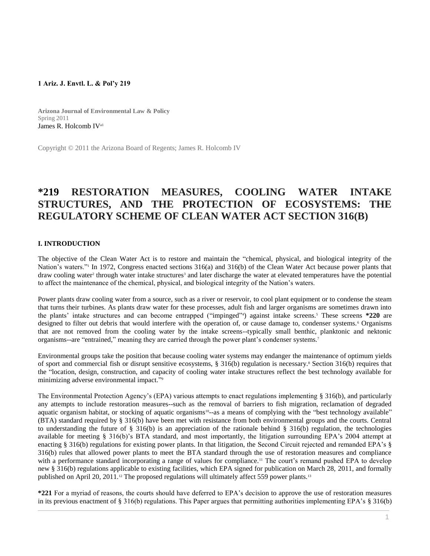#### **1 Ariz. J. Envtl. L. & Pol'y 219**

**Arizona Journal of Environmental Law & Policy** Spring 2011 [James R. Holcomb IV](http://www.westlaw.com/Link/Document/FullText?findType=h&pubNum=176284&cite=0245017601&originatingDoc=I0ecc82a52df011e18b05fdf15589d8e8&refType=RQ&originationContext=document&vr=3.0&rs=cblt1.0&transitionType=DocumentItem&contextData=(sc.Search))a1

Copyright © 2011 the Arizona Board of Regents; James R. Holcomb IV

# **\*219 RESTORATION MEASURES, COOLING WATER INTAKE STRUCTURES, AND THE PROTECTION OF ECOSYSTEMS: THE REGULATORY SCHEME OF CLEAN WATER ACT SECTION 316(B)**

# **I. INTRODUCTION**

The objective of the Clean Water Act is to restore and maintain the "chemical, physical, and biological integrity of the Nation's waters." In 1972, Congress enacted sections 316(a) and 316(b) of the Clean Water Act because power plants that draw cooling water<sup>2</sup> through water intake structures<sup>3</sup> and later discharge the water at elevated temperatures have the potential to affect the maintenance of the chemical, physical, and biological integrity of the Nation's waters.

Power plants draw cooling water from a source, such as a river or reservoir, to cool plant equipment or to condense the steam that turns their turbines. As plants draw water for these processes, adult fish and larger organisms are sometimes drawn into the plants' intake structures and can become entrapped ("impinged"<sup>4</sup>) against intake screens.<sup>5</sup> These screens **\*220** are designed to filter out debris that would interfere with the operation of, or cause damage to, condenser systems. <sup>6</sup> Organisms that are not removed from the cooling water by the intake screens--typically small benthic, planktonic and nektonic organisms--are "entrained," meaning they are carried through the power plant's condenser systems.<sup>7</sup>

Environmental groups take the position that because cooling water systems may endanger the maintenance of optimum yields of sport and commercial fish or disrupt sensitive ecosystems, § 316(b) regulation is necessary.<sup>8</sup> Section 316(b) requires that the "location, design, construction, and capacity of cooling water intake structures reflect the best technology available for minimizing adverse environmental impact."<sup>9</sup>

The Environmental Protection Agency's (EPA) various attempts to enact regulations implementing § 316(b), and particularly any attempts to include restoration measures--such as the removal of barriers to fish migration, reclamation of degraded aquatic organism habitat, or stocking of aquatic organisms<sup>10</sup>-as a means of complying with the "best technology available" (BTA) standard required by § 316(b) have been met with resistance from both environmental groups and the courts. Central to understanding the future of  $\S$  316(b) is an appreciation of the rationale behind  $\S$  316(b) regulation, the technologies available for meeting § 316(b)'s BTA standard, and most importantly, the litigation surrounding EPA's 2004 attempt at enacting § 316(b) regulations for existing power plants. In that litigation, the Second Circuit rejected and remanded EPA's § 316(b) rules that allowed power plants to meet the BTA standard through the use of restoration measures and compliance with a performance standard incorporating a range of values for compliance.<sup>11</sup> The court's remand pushed EPA to develop new § 316(b) regulations applicable to existing facilities, which EPA signed for publication on March 28, 2011, and formally published on April 20, 2011.<sup>12</sup> The proposed regulations will ultimately affect 559 power plants.<sup>13</sup>

**\*221** For a myriad of reasons, the courts should have deferred to EPA's decision to approve the use of restoration measures in its previous enactment of § 316(b) regulations. This Paper argues that permitting authorities implementing EPA's § 316(b)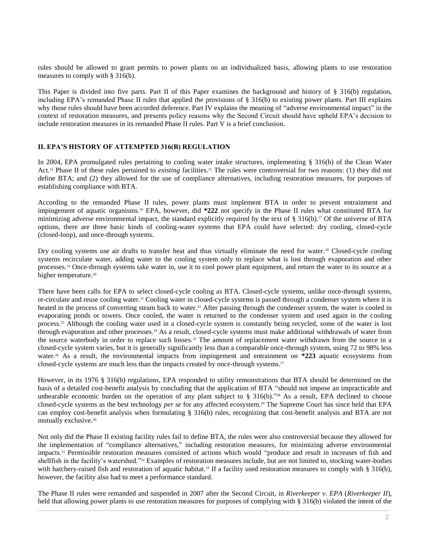rules should be allowed to grant permits to power plants on an individualized basis, allowing plants to use restoration measures to comply with § 316(b).

This Paper is divided into five parts. Part II of this Paper examines the background and history of § 316(b) regulation, including EPA's remanded Phase II rules that applied the provisions of § 316(b) to existing power plants. Part III explains why those rules should have been accorded deference. Part IV explains the meaning of "adverse environmental impact" in the context of restoration measures, and presents policy reasons why the Second Circuit should have upheld EPA's decision to include restoration measures in its remanded Phase II rules. Part V is a brief conclusion.

# **II. EPA'S HISTORY OF ATTEMPTED 316(B) REGULATION**

In 2004, EPA promulgated rules pertaining to cooling water intake structures, implementing § 316(b) of the Clean Water Act.<sup>14</sup> Phase II of these rules pertained to *existing* facilities.<sup>15</sup> The rules were controversial for two reasons: (1) they did not define BTA; and (2) they allowed for the use of compliance alternatives, including restoration measures, for purposes of establishing compliance with BTA.

According to the remanded Phase II rules, power plants must implement BTA in order to prevent entrainment and impingement of aquatic organisms.<sup>16</sup> EPA, however, did **\*222** not specify in the Phase II rules what constituted BTA for minimizing adverse environmental impact, the standard explicitly required by the text of  $\S 316(b)$ .<sup>17</sup> Of the universe of BTA options, there are three basic kinds of cooling-water systems that EPA could have selected: dry cooling, closed-cycle (closed-loop), and once-through systems.

Dry cooling systems use air drafts to transfer heat and thus virtually eliminate the need for water.<sup>18</sup> Closed-cycle cooling systems recirculate water, adding water to the cooling system only to replace what is lost through evaporation and other processes.<sup>19</sup> Once-through systems take water in, use it to cool power plant equipment, and return the water to its source at a higher temperature.<sup>20</sup>

There have been calls for EPA to select closed-cycle cooling as BTA. Closed-cycle systems, unlike once-through systems, re-circulate and reuse cooling water.<sup>21</sup> Cooling water in closed-cycle systems is passed through a condenser system where it is heated in the process of converting steam back to water.<sup>22</sup> After passing through the condenser system, the water is cooled in evaporating ponds or towers. Once cooled, the water is returned to the condenser system and used again in the cooling process.<sup>23</sup> Although the cooling water used in a closed-cycle system is constantly being recycled, some of the water is lost through evaporation and other processes.<sup>24</sup> As a result, closed-cycle systems must make additional withdrawals of water from the source waterbody in order to replace such losses.<sup>25</sup> The amount of replacement water withdrawn from the source in a closed-cycle system varies, but it is generally significantly less than a comparable once-through system, using 72 to 98% less water.<sup>26</sup> As a result, the environmental impacts from impingement and entrainment on **\*223** aquatic ecosystems from closed-cycle systems are much less than the impacts created by once-through systems.<sup>27</sup>

However, in its 1976 § 316(b) regulations, EPA responded to utility remonstrations that BTA should be determined on the basis of a detailed cost-benefit analysis by concluding that the application of BTA "should not impose an impracticable and unbearable economic burden on the operation of any plant subject to  $\S$  316(b)."<sup>28</sup> As a result, EPA declined to choose closed-cycle systems as the best technology *per se* for any affected ecosystem.<sup>29</sup> The Supreme Court has since held that EPA can employ cost-benefit analysis when formulating § 316(b) rules, recognizing that cost-benefit analysis and BTA are not mutually exclusive.<sup>30</sup>

Not only did the Phase II existing facility rules fail to define BTA, the rules were also controversial because they allowed for the implementation of "compliance alternatives," including restoration measures, for minimizing adverse environmental impacts.<sup>31</sup> Permissible restoration measures consisted of actions which would "produce and result in increases of fish and shellfish in the facility's watershed."<sup>32</sup> Examples of restoration measures include, but are not limited to, stocking water-bodies with hatchery-raised fish and restoration of aquatic habitat.<sup>33</sup> If a facility used restoration measures to comply with § 316(b), however, the facility also had to meet a performance standard.

The Phase II rules were remanded and suspended in 2007 after the Second Circuit, in *Riverkeeper v. EPA* (*Riverkeeper II*), held that allowing power plants to use restoration measures for purposes of complying with § 316(b) violated the intent of the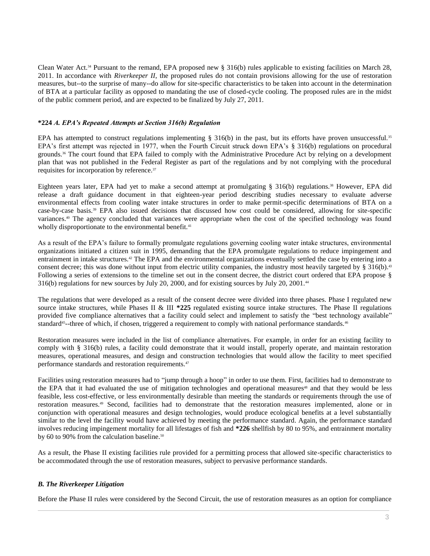Clean Water Act.<sup>34</sup> Pursuant to the remand, EPA proposed new § 316(b) rules applicable to existing facilities on March 28, 2011. In accordance with *Riverkeeper II*, the proposed rules do not contain provisions allowing for the use of restoration measures, but--to the surprise of many--do allow for site-specific characteristics to be taken into account in the determination of BTA at a particular facility as opposed to mandating the use of closed-cycle cooling. The proposed rules are in the midst of the public comment period, and are expected to be finalized by July 27, 2011.

#### **\*224** *A. EPA's Repeated Attempts at Section 316(b) Regulation*

EPA has attempted to construct regulations implementing  $\S$  316(b) in the past, but its efforts have proven unsuccessful.<sup>35</sup> EPA's first attempt was rejected in 1977, when the Fourth Circuit struck down EPA's § 316(b) regulations on procedural grounds.<sup>36</sup> The court found that EPA failed to comply with the Administrative Procedure Act by relying on a development plan that was not published in the Federal Register as part of the regulations and by not complying with the procedural requisites for incorporation by reference.<sup>37</sup>

Eighteen years later, EPA had yet to make a second attempt at promulgating § 316(b) regulations.<sup>38</sup> However, EPA did release a draft guidance document in that eighteen-year period describing studies necessary to evaluate adverse environmental effects from cooling water intake structures in order to make permit-specific determinations of BTA on a case-by-case basis.<sup>39</sup> EPA also issued decisions that discussed how cost could be considered, allowing for site-specific variances.<sup>40</sup> The agency concluded that variances were appropriate when the cost of the specified technology was found wholly disproportionate to the environmental benefit.<sup>41</sup>

As a result of the EPA's failure to formally promulgate regulations governing cooling water intake structures, environmental organizations initiated a citizen suit in 1995, demanding that the EPA promulgate regulations to reduce impingement and entrainment in intake structures.<sup>42</sup> The EPA and the environmental organizations eventually settled the case by entering into a consent decree; this was done without input from electric utility companies, the industry most heavily targeted by § 316(b).<sup>43</sup> Following a series of extensions to the timeline set out in the consent decree, the district court ordered that EPA propose § 316(b) regulations for new sources by July 20, 2000, and for existing sources by July 20, 2001.<sup>44</sup>

The regulations that were developed as a result of the consent decree were divided into three phases. Phase I regulated new source intake structures, while Phases II & III **\*225** regulated existing source intake structures. The Phase II regulations provided five compliance alternatives that a facility could select and implement to satisfy the "best technology available" standard<sup>45</sup>-three of which, if chosen, triggered a requirement to comply with national performance standards.<sup>46</sup>

Restoration measures were included in the list of compliance alternatives. For example, in order for an existing facility to comply with § 316(b) rules, a facility could demonstrate that it would install, properly operate, and maintain restoration measures, operational measures, and design and construction technologies that would allow the facility to meet specified performance standards and restoration requirements.<sup>47</sup>

Facilities using restoration measures had to "jump through a hoop" in order to use them. First, facilities had to demonstrate to the EPA that it had evaluated the use of mitigation technologies and operational measures<sup>48</sup> and that they would be less feasible, less cost-effective, or less environmentally desirable than meeting the standards or requirements through the use of restoration measures.<sup>49</sup> Second, facilities had to demonstrate that the restoration measures implemented, alone or in conjunction with operational measures and design technologies, would produce ecological benefits at a level substantially similar to the level the facility would have achieved by meeting the performance standard. Again, the performance standard involves reducing impingement mortality for all lifestages of fish and **\*226** shellfish by 80 to 95%, and entrainment mortality by 60 to 90% from the calculation baseline.<sup>50</sup>

As a result, the Phase II existing facilities rule provided for a permitting process that allowed site-specific characteristics to be accommodated through the use of restoration measures, subject to pervasive performance standards.

# *B. The Riverkeeper Litigation*

Before the Phase II rules were considered by the Second Circuit, the use of restoration measures as an option for compliance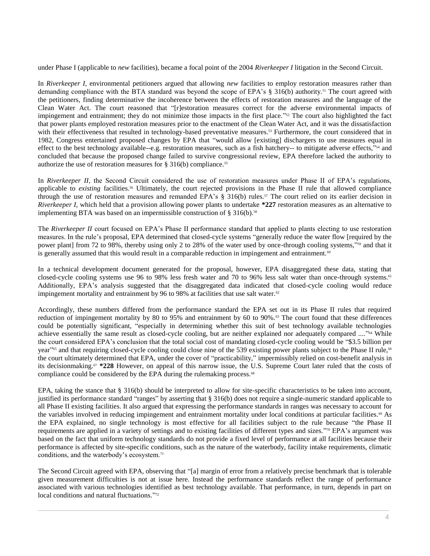under Phase I (applicable to *new* facilities), became a focal point of the 2004 *Riverkeeper I* litigation in the Second Circuit.

In *Riverkeeper I*, environmental petitioners argued that allowing *new* facilities to employ restoration measures rather than demanding compliance with the BTA standard was beyond the scope of EPA's § 316(b) authority.<sup>51</sup> The court agreed with the petitioners, finding determinative the incoherence between the effects of restoration measures and the language of the Clean Water Act. The court reasoned that "[r]estoration measures correct for the adverse environmental impacts of impingement and entrainment; they do not minimize those impacts in the first place."<sup>52</sup> The court also highlighted the fact that power plants employed restoration measures prior to the enactment of the Clean Water Act, and it was the dissatisfaction with their effectiveness that resulted in technology-based preventative measures.<sup>53</sup> Furthermore, the court considered that in 1982, Congress entertained proposed changes by EPA that "would allow [existing] dischargers to use measures equal in effect to the best technology available--e.g. restoration measures, such as a fish hatchery-- to mitigate adverse effects,"<sup>54</sup> and concluded that because the proposed change failed to survive congressional review, EPA therefore lacked the authority to authorize the use of restoration measures for  $\S 316(b)$  compliance.<sup>55</sup>

In *Riverkeeper II*, the Second Circuit considered the use of restoration measures under Phase II of EPA's regulations, applicable to *existing* facilities.<sup>56</sup> Ultimately, the court rejected provisions in the Phase II rule that allowed compliance through the use of restoration measures and remanded EPA's § 316(b) rules.<sup>57</sup> The court relied on its earlier decision in *Riverkeeper I*, which held that a provision allowing power plants to undertake **\*227** restoration measures as an alternative to implementing BTA was based on an impermissible construction of  $\S 316(b)$ .<sup>58</sup>

The *Riverkeeper II* court focused on EPA's Phase II performance standard that applied to plants electing to use restoration measures. In the rule's proposal, EPA determined that closed-cycle systems "generally reduce the water flow [required by the power plant] from 72 to 98%, thereby using only 2 to 28% of the water used by once-through cooling systems," <sup>59</sup> and that it is generally assumed that this would result in a comparable reduction in impingement and entrainment.<sup>60</sup>

In a technical development document generated for the proposal, however, EPA disaggregated these data, stating that closed-cycle cooling systems use 96 to 98% less fresh water and 70 to 96% less salt water than once-through systems.<sup>61</sup> Additionally, EPA's analysis suggested that the disaggregated data indicated that closed-cycle cooling would reduce impingement mortality and entrainment by 96 to 98% at facilities that use salt water.<sup>62</sup>

Accordingly, these numbers differed from the performance standard the EPA set out in its Phase II rules that required reduction of impingement mortality by 80 to 95% and entrainment by 60 to 90%.<sup>63</sup> The court found that these differences could be potentially significant, "especially in determining whether this suit of best technology available technologies achieve essentially the same result as closed-cycle cooling, but are neither explained nor adequately compared ...."<sup>64</sup> While the court considered EPA's conclusion that the total social cost of mandating closed-cycle cooling would be "\$3.5 billion per year"<sup>65</sup> and that requiring closed-cycle cooling could close nine of the 539 existing power plants subject to the Phase II rule,<sup>66</sup> the court ultimately determined that EPA, under the cover of "practicability," impermissibly relied on cost-benefit analysis in its decisionmaking.<sup>67</sup> **\*228** However, on appeal of this narrow issue, the U.S. Supreme Court later ruled that the costs of compliance could be considered by the EPA during the rulemaking process.<sup>68</sup>

EPA, taking the stance that § 316(b) should be interpreted to allow for site-specific characteristics to be taken into account, justified its performance standard "ranges" by asserting that § 316(b) does not require a single-numeric standard applicable to all Phase II existing facilities. It also argued that expressing the performance standards in ranges was necessary to account for the variables involved in reducing impingement and entrainment mortality under local conditions at particular facilities.<sup>69</sup> As the EPA explained, no single technology is most effective for all facilities subject to the rule because "the Phase II requirements are applied in a variety of settings and to existing facilities of different types and sizes."<sup>70</sup> EPA's argument was based on the fact that uniform technology standards do not provide a fixed level of performance at all facilities because their performance is affected by site-specific conditions, such as the nature of the waterbody, facility intake requirements, climatic conditions, and the waterbody's ecosystem.<sup>71</sup>

The Second Circuit agreed with EPA, observing that "[a] margin of error from a relatively precise benchmark that is tolerable given measurement difficulties is not at issue here. Instead the performance standards reflect the range of performance associated with various technologies identified as best technology available. That performance, in turn, depends in part on local conditions and natural fluctuations."<sup>72</sup>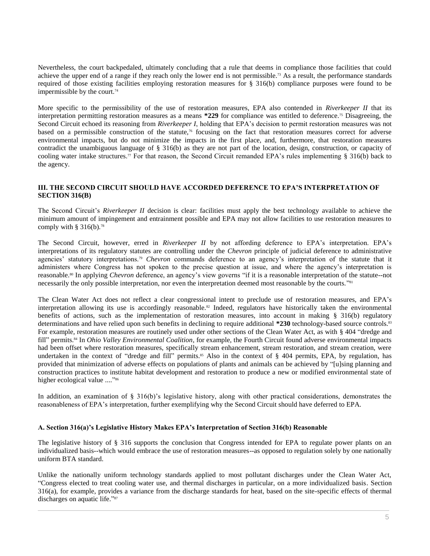Nevertheless, the court backpedaled, ultimately concluding that a rule that deems in compliance those facilities that could achieve the upper end of a range if they reach only the lower end is not permissible.<sup>73</sup> As a result, the performance standards required of those existing facilities employing restoration measures for § 316(b) compliance purposes were found to be impermissible by the court. $74$ 

More specific to the permissibility of the use of restoration measures, EPA also contended in *Riverkeeper II* that its interpretation permitting restoration measures as a means **\*229** for compliance was entitled to deference.<sup>75</sup> Disagreeing, the Second Circuit echoed its reasoning from *Riverkeeper I*, holding that EPA's decision to permit restoration measures was not based on a permissible construction of the statute,<sup>76</sup> focusing on the fact that restoration measures correct for adverse environmental impacts, but do not minimize the impacts in the first place, and, furthermore, that restoration measures contradict the unambiguous language of § 316(b) as they are not part of the location, design, construction, or capacity of cooling water intake structures.<sup>77</sup> For that reason, the Second Circuit remanded EPA's rules implementing § 316(b) back to the agency.

# **III. THE SECOND CIRCUIT SHOULD HAVE ACCORDED DEFERENCE TO EPA'S INTERPRETATION OF SECTION 316(B)**

The Second Circuit's *Riverkeeper II* decision is clear: facilities must apply the best technology available to achieve the minimum amount of impingement and entrainment possible and EPA may not allow facilities to use restoration measures to comply with  $§$  316(b).<sup>78</sup>

The Second Circuit, however, erred in *Riverkeeper II* by not affording deference to EPA's interpretation. EPA's interpretations of its regulatory statutes are controlling under the *Chevron* principle of judicial deference to administrative agencies' statutory interpretations.<sup>79</sup> *Chevron* commands deference to an agency's interpretation of the statute that it administers where Congress has not spoken to the precise question at issue, and where the agency's interpretation is reasonable.<sup>80</sup> In applying *Chevron* deference, an agency's view governs "if it is a reasonable interpretation of the statute--not necessarily the only possible interpretation, nor even the interpretation deemed most reasonable by the courts."<sup>81</sup>

The Clean Water Act does not reflect a clear congressional intent to preclude use of restoration measures, and EPA's interpretation allowing its use is accordingly reasonable.<sup>82</sup> Indeed, regulators have historically taken the environmental benefits of actions, such as the implementation of restoration measures, into account in making § 316(b) regulatory determinations and have relied upon such benefits in declining to require additional **\*230** technology-based source controls.<sup>83</sup> For example, restoration measures are routinely used under other sections of the Clean Water Act, as with § 404 "dredge and fill" permits.<sup>84</sup> In *Ohio Valley Environmental Coalition*, for example, the Fourth Circuit found adverse environmental impacts had been offset where restoration measures, specifically stream enhancement, stream restoration, and stream creation, were undertaken in the context of "dredge and fill" permits.<sup>85</sup> Also in the context of § 404 permits, EPA, by regulation, has provided that minimization of adverse effects on populations of plants and animals can be achieved by "[u]sing planning and construction practices to institute habitat development and restoration to produce a new or modified environmental state of higher ecological value ...."<sup>86</sup>

In addition, an examination of § 316(b)'s legislative history, along with other practical considerations, demonstrates the reasonableness of EPA's interpretation, further exemplifying why the Second Circuit should have deferred to EPA.

# **A. Section 316(a)'s Legislative History Makes EPA's Interpretation of Section 316(b) Reasonable**

The legislative history of § 316 supports the conclusion that Congress intended for EPA to regulate power plants on an individualized basis--which would embrace the use of restoration measures--as opposed to regulation solely by one nationally uniform BTA standard.

Unlike the nationally uniform technology standards applied to most pollutant discharges under the Clean Water Act, "Congress elected to treat cooling water use, and thermal discharges in particular, on a more individualized basis. Section 316(a), for example, provides a variance from the discharge standards for heat, based on the site-specific effects of thermal discharges on aquatic life."87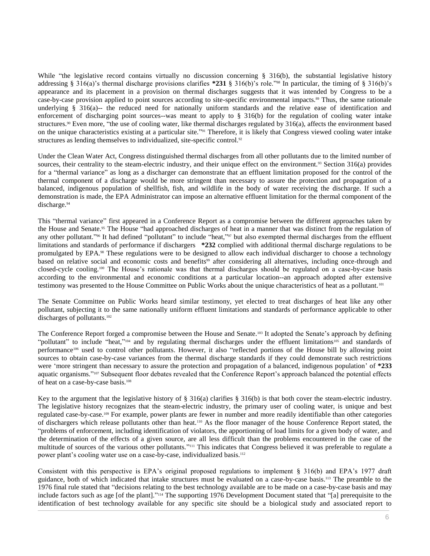While "the legislative record contains virtually no discussion concerning § 316(b), the substantial legislative history addressing § 316(a)'s thermal discharge provisions clarifies **\*231** § 316(b)'s role."<sup>88</sup> In particular, the timing of § 316(b)'s appearance and its placement in a provision on thermal discharges suggests that it was intended by Congress to be a case-by-case provision applied to point sources according to site-specific environmental impacts.<sup>89</sup> Thus, the same rationale underlying § 316(a)-- the reduced need for nationally uniform standards and the relative ease of identification and enforcement of discharging point sources--was meant to apply to § 316(b) for the regulation of cooling water intake structures.<sup>90</sup> Even more, "the use of cooling water, like thermal discharges regulated by 316(a), affects the environment based on the unique characteristics existing at a particular site." <sup>91</sup> Therefore, it is likely that Congress viewed cooling water intake structures as lending themselves to individualized, site-specific control.<sup>92</sup>

Under the Clean Water Act, Congress distinguished thermal discharges from all other pollutants due to the limited number of sources, their centrality to the steam-electric industry, and their unique effect on the environment.<sup>93</sup> Section  $316(a)$  provides for a "thermal variance" as long as a discharger can demonstrate that an effluent limitation proposed for the control of the thermal component of a discharge would be more stringent than necessary to assure the protection and propagation of a balanced, indigenous population of shellfish, fish, and wildlife in the body of water receiving the discharge. If such a demonstration is made, the EPA Administrator can impose an alternative effluent limitation for the thermal component of the discharge.<sup>94</sup>

This "thermal variance" first appeared in a Conference Report as a compromise between the different approaches taken by the House and Senate.<sup>95</sup> The House "had approached discharges of heat in a manner that was distinct from the regulation of any other pollutant."<sup>96</sup> It had defined "pollutant" to include "heat,"<sup>97</sup> but also exempted thermal discharges from the effluent limitations and standards of performance if dischargers **\*232** complied with additional thermal discharge regulations to be promulgated by EPA.<sup>98</sup> These regulations were to be designed to allow each individual discharger to choose a technology based on relative social and economic costs and benefits<sup>99</sup> after considering all alternatives, including once-through and closed-cycle cooling.<sup>100</sup> The House's rationale was that thermal discharges should be regulated on a case-by-case basis according to the environmental and economic conditions at a particular location--an approach adopted after extensive testimony was presented to the House Committee on Public Works about the unique characteristics of heat as a pollutant.<sup>101</sup>

The Senate Committee on Public Works heard similar testimony, yet elected to treat discharges of heat like any other pollutant, subjecting it to the same nationally uniform effluent limitations and standards of performance applicable to other discharges of pollutants.<sup>102</sup>

The Conference Report forged a compromise between the House and Senate.<sup>103</sup> It adopted the Senate's approach by defining "pollutant" to include "heat,"<sup>104</sup> and by regulating thermal discharges under the effluent limitations<sup>105</sup> and standards of performance<sup>106</sup> used to control other pollutants. However, it also "reflected portions of the House bill by allowing point sources to obtain case-by-case variances from the thermal discharge standards if they could demonstrate such restrictions were 'more stringent than necessary to assure the protection and propagation of a balanced, indigenous population' of **\*233** aquatic organisms."<sup>107</sup> Subsequent floor debates revealed that the Conference Report's approach balanced the potential effects of heat on a case-by-case basis.<sup>108</sup>

Key to the argument that the legislative history of § 316(a) clarifies § 316(b) is that both cover the steam-electric industry. The legislative history recognizes that the steam-electric industry, the primary user of cooling water, is unique and best regulated case-by-case.<sup>109</sup> For example, power plants are fewer in number and more readily identifiable than other categories of dischargers which release pollutants other than heat.<sup>110</sup> As the floor manager of the house Conference Report stated, the "problems of enforcement, including identification of violators, the apportioning of load limits for a given body of water, and the determination of the effects of a given source, are all less difficult than the problems encountered in the case of the multitude of sources of the various other pollutants."<sup>111</sup> This indicates that Congress believed it was preferable to regulate a power plant's cooling water use on a case-by-case, individualized basis.<sup>112</sup>

Consistent with this perspective is EPA's original proposed regulations to implement § 316(b) and EPA's 1977 draft guidance, both of which indicated that intake structures must be evaluated on a case-by-case basis.<sup>113</sup> The preamble to the 1976 final rule stated that "decisions relating to the best technology available are to be made on a case-by-case basis and may include factors such as age [of the plant]."<sup>114</sup> The supporting 1976 Development Document stated that "[a] prerequisite to the identification of best technology available for any specific site should be a biological study and associated report to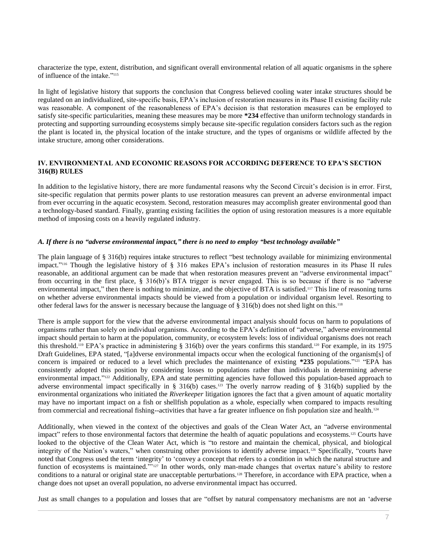characterize the type, extent, distribution, and significant overall environmental relation of all aquatic organisms in the sphere of influence of the intake." 115

In light of legislative history that supports the conclusion that Congress believed cooling water intake structures should be regulated on an individualized, site-specific basis, EPA's inclusion of restoration measures in its Phase II existing facility rule was reasonable. A component of the reasonableness of EPA's decision is that restoration measures can be employed to satisfy site-specific particularities, meaning these measures may be more **\*234** effective than uniform technology standards in protecting and supporting surrounding ecosystems simply because site-specific regulation considers factors such as the region the plant is located in, the physical location of the intake structure, and the types of organisms or wildlife affected by the intake structure, among other considerations.

# **IV. ENVIRONMENTAL AND ECONOMIC REASONS FOR ACCORDING DEFERENCE TO EPA'S SECTION 316(B) RULES**

In addition to the legislative history, there are more fundamental reasons why the Second Circuit's decision is in error. First, site-specific regulation that permits power plants to use restoration measures can prevent an adverse environmental impact from ever occurring in the aquatic ecosystem. Second, restoration measures may accomplish greater environmental good than a technology-based standard. Finally, granting existing facilities the option of using restoration measures is a more equitable method of imposing costs on a heavily regulated industry.

#### *A. If there is no "adverse environmental impact," there is no need to employ "best technology available"*

The plain language of § 316(b) requires intake structures to reflect "best technology available for minimizing environmental impact." <sup>116</sup> Though the legislative history of § 316 makes EPA's inclusion of restoration measures in its Phase II rules reasonable, an additional argument can be made that when restoration measures prevent an "adverse environmental impact" from occurring in the first place, § 316(b)'s BTA trigger is never engaged. This is so because if there is no "adverse environmental impact," then there is nothing to minimize, and the objective of BTA is satisfied.<sup>117</sup> This line of reasoning turns on whether adverse environmental impacts should be viewed from a population or individual organism level. Resorting to other federal laws for the answer is necessary because the language of § 316(b) does not shed light on this.<sup>118</sup>

There is ample support for the view that the adverse environmental impact analysis should focus on harm to populations of organisms rather than solely on individual organisms. According to the EPA's definition of "adverse," adverse environmental impact should pertain to harm at the population, community, or ecosystem levels: loss of individual organisms does not reach this threshold.<sup>119</sup> EPA's practice in administering § 316(b) over the years confirms this standard.<sup>120</sup> For example, in its 1975 Draft Guidelines, EPA stated, "[a]dverse environmental impacts occur when the ecological functioning of the organism[s] of concern is impaired or reduced to a level which precludes the maintenance of existing  $*235$  populations.<sup>"121</sup> "EPA has consistently adopted this position by considering losses to populations rather than individuals in determining adverse environmental impact."<sup>122</sup> Additionally, EPA and state permitting agencies have followed this population-based approach to adverse environmental impact specifically in § 316(b) cases.<sup>123</sup> The overly narrow reading of § 316(b) supplied by the environmental organizations who initiated the *Riverkeeper* litigation ignores the fact that a given amount of aquatic mortality may have no important impact on a fish or shellfish population as a whole, especially when compared to impacts resulting from commercial and recreational fishing--activities that have a far greater influence on fish population size and health.<sup>124</sup>

Additionally, when viewed in the context of the objectives and goals of the Clean Water Act, an "adverse environmental impact" refers to those environmental factors that determine the health of aquatic populations and ecosystems.<sup>125</sup> Courts have looked to the objective of the Clean Water Act, which is "to restore and maintain the chemical, physical, and biological integrity of the Nation's waters," when construing other provisions to identify adverse impact.<sup>126</sup> Specifically, "courts have noted that Congress used the term 'integrity' to 'convey a concept that refers to a condition in which the natural structure and function of ecosystems is maintained."<sup>127</sup> In other words, only man-made changes that overtax nature's ability to restore conditions to a natural or original state are unacceptable perturbations.<sup>128</sup> Therefore, in accordance with EPA practice, when a change does not upset an overall population, no adverse environmental impact has occurred.

Just as small changes to a population and losses that are "offset by natural compensatory mechanisms are not an 'adverse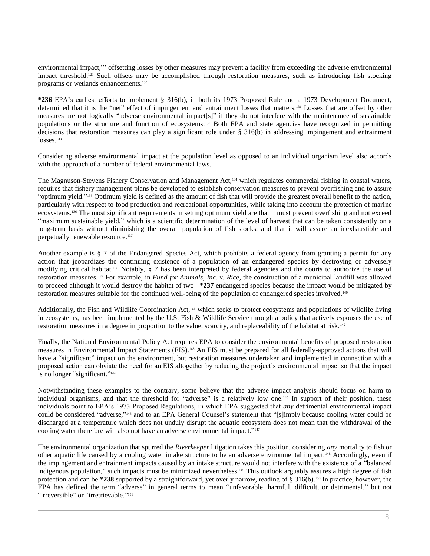environmental impact,"' offsetting losses by other measures may prevent a facility from exceeding the adverse environmental impact threshold.<sup>129</sup> Such offsets may be accomplished through restoration measures, such as introducing fish stocking programs or wetlands enhancements.<sup>130</sup>

**\*236** EPA's earliest efforts to implement § 316(b), in both its 1973 Proposed Rule and a 1973 Development Document, determined that it is the "net" effect of impingement and entrainment losses that matters.<sup>131</sup> Losses that are offset by other measures are not logically "adverse environmental impact[s]" if they do not interfere with the maintenance of sustainable populations or the structure and function of ecosystems.<sup>132</sup> Both EPA and state agencies have recognized in permitting decisions that restoration measures can play a significant role under § 316(b) in addressing impingement and entrainment  $losses.<sup>133</sup>$ 

Considering adverse environmental impact at the population level as opposed to an individual organism level also accords with the approach of a number of federal environmental laws.

The Magnuson-Stevens Fishery Conservation and Management Act,<sup>134</sup> which regulates commercial fishing in coastal waters, requires that fishery management plans be developed to establish conservation measures to prevent overfishing and to assure "optimum yield." <sup>135</sup> Optimum yield is defined as the amount of fish that will provide the greatest overall benefit to the nation, particularly with respect to food production and recreational opportunities, while taking into account the protection of marine ecosystems.<sup>136</sup> The most significant requirements in setting optimum yield are that it must prevent overfishing and not exceed "maximum sustainable yield," which is a scientific determination of the level of harvest that can be taken consistently on a long-term basis without diminishing the overall population of fish stocks, and that it will assure an inexhaustible and perpetually renewable resource.<sup>137</sup>

Another example is § 7 of the Endangered Species Act, which prohibits a federal agency from granting a permit for any action that jeopardizes the continuing existence of a population of an endangered species by destroying or adversely modifying critical habitat.<sup>138</sup> Notably, § 7 has been interpreted by federal agencies and the courts to authorize the use of restoration measures.<sup>139</sup> For example, in *Fund for Animals, Inc. v. Rice*, the construction of a municipal landfill was allowed to proceed although it would destroy the habitat of two **\*237** endangered species because the impact would be mitigated by restoration measures suitable for the continued well-being of the population of endangered species involved.<sup>140</sup>

Additionally, the Fish and Wildlife Coordination Act,<sup>141</sup> which seeks to protect ecosystems and populations of wildlife living in ecosystems, has been implemented by the U.S. Fish & Wildlife Service through a policy that actively espouses the use of restoration measures in a degree in proportion to the value, scarcity, and replaceability of the habitat at risk. <sup>142</sup>

Finally, the National Environmental Policy Act requires EPA to consider the environmental benefits of proposed restoration measures in Environmental Impact Statements (EIS).<sup>143</sup> An EIS must be prepared for all federally-approved actions that will have a "significant" impact on the environment, but restoration measures undertaken and implemented in connection with a proposed action can obviate the need for an EIS altogether by reducing the project's environmental impact so that the impact is no longer "significant."<sup>144</sup>

Notwithstanding these examples to the contrary, some believe that the adverse impact analysis should focus on harm to individual organisms, and that the threshold for "adverse" is a relatively low one.<sup>145</sup> In support of their position, these individuals point to EPA's 1973 Proposed Regulations, in which EPA suggested that *any* detrimental environmental impact could be considered "adverse," <sup>146</sup> and to an EPA General Counsel's statement that "[s]imply because cooling water could be discharged at a temperature which does not unduly disrupt the aquatic ecosystem does not mean that the withdrawal of the cooling water therefore will also not have an adverse environmental impact."<sup>147</sup>

The environmental organization that spurred the *Riverkeeper* litigation takes this position, considering *any* mortality to fish or other aquatic life caused by a cooling water intake structure to be an adverse environmental impact.<sup>148</sup> Accordingly, even if the impingement and entrainment impacts caused by an intake structure would not interfere with the existence of a "balanced indigenous population," such impacts must be minimized nevertheless.<sup>149</sup> This outlook arguably assures a high degree of fish protection and can be **\*238** supported by a straightforward, yet overly narrow, reading of § 316(b).<sup>150</sup> In practice, however, the EPA has defined the term "adverse" in general terms to mean "unfavorable, harmful, difficult, or detrimental," but not "irreversible" or "irretrievable."<sup>151</sup>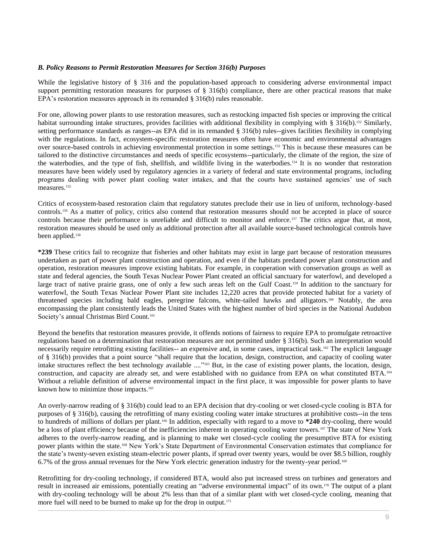#### *B. Policy Reasons to Permit Restoration Measures for Section 316(b) Purposes*

While the legislative history of § 316 and the population-based approach to considering adverse environmental impact support permitting restoration measures for purposes of  $\S$  316(b) compliance, there are other practical reasons that make EPA's restoration measures approach in its remanded § 316(b) rules reasonable.

For one, allowing power plants to use restoration measures, such as restocking impacted fish species or improving the critical habitat surrounding intake structures, provides facilities with additional flexibility in complying with § 316(b).<sup>152</sup> Similarly, setting performance standards as ranges--as EPA did in its remanded § 316(b) rules--gives facilities flexibility in complying with the regulations. In fact, ecosystem-specific restoration measures often have economic and environmental advantages over source-based controls in achieving environmental protection in some settings.<sup>153</sup> This is because these measures can be tailored to the distinctive circumstances and needs of specific ecosystems--particularly, the climate of the region, the size of the waterbodies, and the type of fish, shellfish, and wildlife living in the waterbodies.<sup>154</sup> It is no wonder that restoration measures have been widely used by regulatory agencies in a variety of federal and state environmental programs, including programs dealing with power plant cooling water intakes, and that the courts have sustained agencies' use of such measures.<sup>155</sup>

Critics of ecosystem-based restoration claim that regulatory statutes preclude their use in lieu of uniform, technology-based controls.<sup>156</sup> As a matter of policy, critics also contend that restoration measures should not be accepted in place of source controls because their performance is unreliable and difficult to monitor and enforce.<sup>157</sup> The critics argue that, at most, restoration measures should be used only as additional protection after all available source-based technological controls have been applied.<sup>158</sup>

**\*239** These critics fail to recognize that fisheries and other habitats may exist in large part because of restoration measures undertaken as part of power plant construction and operation, and even if the habitats predated power plant construction and operation, restoration measures improve existing habitats. For example, in cooperation with conservation groups as well as state and federal agencies, the South Texas Nuclear Power Plant created an official sanctuary for waterfowl, and developed a large tract of native prairie grass, one of only a few such areas left on the Gulf Coast.<sup>159</sup> In addition to the sanctuary for waterfowl, the South Texas Nuclear Power Plant site includes 12,220 acres that provide protected habitat for a variety of threatened species including bald eagles, peregrine falcons, white-tailed hawks and alligators.<sup>160</sup> Notably, the area encompassing the plant consistently leads the United States with the highest number of bird species in the National Audubon Society's annual Christmas Bird Count.<sup>161</sup>

Beyond the benefits that restoration measures provide, it offends notions of fairness to require EPA to promulgate retroactive regulations based on a determination that restoration measures are not permitted under § 316(b). Such an interpretation would necessarily require retrofitting existing facilities-- an expensive and, in some cases, impractical task.<sup>162</sup> The explicit language of § 316(b) provides that a point source "shall require that the location, design, construction, and capacity of cooling water intake structures reflect the best technology available ...." <sup>163</sup> But, in the case of existing power plants, the location, design, construction, and capacity are already set, and were established with no guidance from EPA on what constituted BTA.<sup>164</sup> Without a reliable definition of adverse environmental impact in the first place, it was impossible for power plants to have known how to minimize those impacts.<sup>165</sup>

An overly-narrow reading of § 316(b) could lead to an EPA decision that dry-cooling or wet closed-cycle cooling is BTA for purposes of § 316(b), causing the retrofitting of many existing cooling water intake structures at prohibitive costs--in the tens to hundreds of millions of dollars per plant.<sup>166</sup> In addition, especially with regard to a move to **\*240** dry-cooling, there would be a loss of plant efficiency because of the inefficiencies inherent in operating cooling water towers.<sup>167</sup> The state of New York adheres to the overly-narrow reading, and is planning to make wet closed-cycle cooling the presumptive BTA for existing power plants within the state.<sup>168</sup> New York's State Department of Environmental Conservation estimates that compliance for the state's twenty-seven existing steam-electric power plants, if spread over twenty years, would be over \$8.5 billion, roughly 6.7% of the gross annual revenues for the New York electric generation industry for the twenty-year period.<sup>169</sup>

Retrofitting for dry-cooling technology, if considered BTA, would also put increased stress on turbines and generators and result in increased air emissions, potentially creating an "adverse environmental impact" of its own.<sup>170</sup> The output of a plant with dry-cooling technology will be about 2% less than that of a similar plant with wet closed-cycle cooling, meaning that more fuel will need to be burned to make up for the drop in output.<sup>171</sup>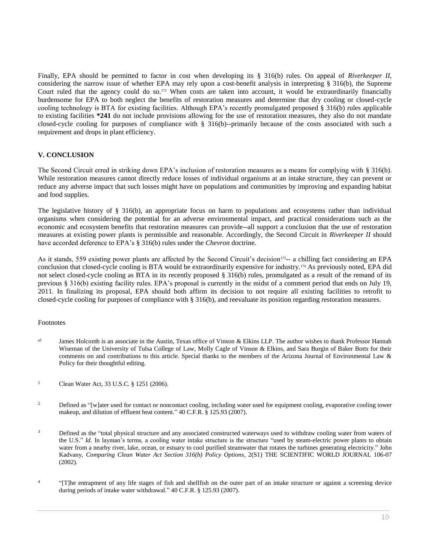Finally, EPA should be permitted to factor in cost when developing its § 316(b) rules. On appeal of *Riverkeeper II*, considering the narrow issue of whether EPA may rely upon a cost-benefit analysis in interpreting § 316(b), the Supreme Court ruled that the agency could do so.<sup>172</sup> When costs are taken into account, it would be extraordinarily financially burdensome for EPA to both neglect the benefits of restoration measures and determine that dry cooling or closed-cycle cooling technology is BTA for existing facilities. Although EPA's recently promulgated proposed § 316(b) rules applicable to existing facilities **\*241** do not include provisions allowing for the use of restoration measures, they also do not mandate closed-cycle cooling for purposes of compliance with § 316(b)--primarily because of the costs associated with such a requirement and drops in plant efficiency.

# **V. CONCLUSION**

The Second Circuit erred in striking down EPA's inclusion of restoration measures as a means for complying with § 316(b). While restoration measures cannot directly reduce losses of individual organisms at an intake structure, they can prevent or reduce any adverse impact that such losses might have on populations and communities by improving and expanding habitat and food supplies.

The legislative history of  $\S$  316(b), an appropriate focus on harm to populations and ecosystems rather than individual organisms when considering the potential for an adverse environmental impact, and practical considerations such as the economic and ecosystem benefits that restoration measures can provide--all support a conclusion that the use of restoration measures at existing power plants is permissible and reasonable. Accordingly, the Second Circuit in *Riverkeeper II* should have accorded deference to EPA's § 316(b) rules under the *Chevron* doctrine.

As it stands, 559 existing power plants are affected by the Second Circuit's decision<sup>173</sup>-- a chilling fact considering an EPA conclusion that closed-cycle cooling is BTA would be extraordinarily expensive for industry.<sup>174</sup> As previously noted, EPA did not select closed-cycle cooling as BTA in its recently proposed § 316(b) rules, promulgated as a result of the remand of its previous § 316(b) existing facility rules. EPA's proposal is currently in the midst of a comment period that ends on July 19, 2011. In finalizing its proposal, EPA should both affirm its decision to not require all existing facilities to retrofit to closed-cycle cooling for purposes of compliance with § 316(b), and reevaluate its position regarding restoration measures.

# Footnotes

- <sup>a1</sup> James Holcomb is an associate in the Austin, Texas office of Vinson & Elkins LLP. The author wishes to thank Professor Hannah Wiseman of the University of Tulsa College of Law, Molly Cagle of Vinson & Elkins, and Sara Burgin of Baker Botts for their comments on and contributions to this article. Special thanks to the members of the Arizona Journal of Environmental Law & Policy for their thoughtful editing.
- <sup>1</sup> Clean Water Act, [33 U.S.C. § 1251 \(2006\).](http://www.westlaw.com/Link/Document/FullText?findType=L&pubNum=1000546&cite=33USCAS1251&originatingDoc=I0ecc82a52df011e18b05fdf15589d8e8&refType=LQ&originationContext=document&vr=3.0&rs=cblt1.0&transitionType=DocumentItem&contextData=(sc.Search))
- <sup>2</sup> Defined as "[w]ater used for contact or noncontact cooling, including water used for equipment cooling, evaporative cooling tower makeup, and dilution of effluent heat content." [40 C.F.R. § 125.93 \(2007\).](http://www.westlaw.com/Link/Document/FullText?findType=L&pubNum=1000547&cite=40CFRS125.93&originatingDoc=I0ecc82a52df011e18b05fdf15589d8e8&refType=LQ&originationContext=document&vr=3.0&rs=cblt1.0&transitionType=DocumentItem&contextData=(sc.Search))
- <sup>3</sup> Defined as the "total physical structure and any associated constructed waterways used to withdraw cooling water from waters of the U.S." *Id.* In layman's terms, a cooling water intake structure is the structure "used by steam-electric power plants to obtain water from a nearby river, lake, ocean, or estuary to cool purified steamwater that rotates the turbines generating electricity." John Kadvany, *Comparing Clean Water Act Section 316(b) Policy Options*, 2(S1) THE SCIENTIFIC WORLD JOURNAL 106-07 (2002).
- 4 "[T]he entrapment of any life stages of fish and shellfish on the outer part of an intake structure or against a screening device during periods of intake water withdrawal." [40 C.F.R. § 125.93 \(2007\).](http://www.westlaw.com/Link/Document/FullText?findType=L&pubNum=1000547&cite=40CFRS125.93&originatingDoc=I0ecc82a52df011e18b05fdf15589d8e8&refType=LQ&originationContext=document&vr=3.0&rs=cblt1.0&transitionType=DocumentItem&contextData=(sc.Search))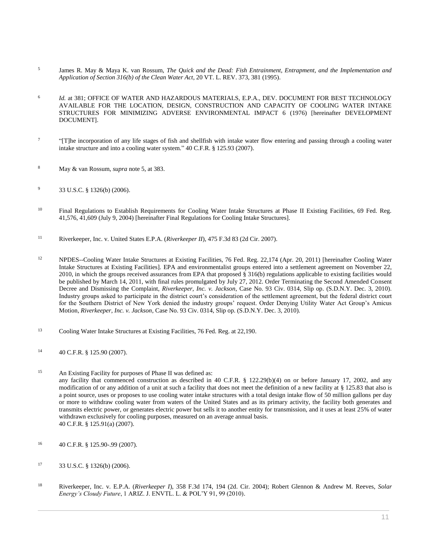- 5 James R. May & Maya K. van Rossum, *[The Quick and the Dead: Fish Entrainment, Entrapment, and the Implementation and](http://www.westlaw.com/Link/Document/FullText?findType=Y&serNum=0106088034&pubNum=0001279&originatingDoc=I0ecc82a52df011e18b05fdf15589d8e8&refType=LR&fi=co_pp_sp_1279_381&originationContext=document&vr=3.0&rs=cblt1.0&transitionType=DocumentItem&contextData=(sc.Search)#co_pp_sp_1279_381)  [Application of Section 316\(b\) of the Clean Water Act](http://www.westlaw.com/Link/Document/FullText?findType=Y&serNum=0106088034&pubNum=0001279&originatingDoc=I0ecc82a52df011e18b05fdf15589d8e8&refType=LR&fi=co_pp_sp_1279_381&originationContext=document&vr=3.0&rs=cblt1.0&transitionType=DocumentItem&contextData=(sc.Search)#co_pp_sp_1279_381)*, 20 VT. L. REV. 373, 381 (1995).
- 6 *Id.* [at 381;](http://www.westlaw.com/Link/Document/FullText?findType=Y&serNum=0106088034&originatingDoc=I0ecc82a52df011e18b05fdf15589d8e8&refType=LR&originationContext=document&vr=3.0&rs=cblt1.0&transitionType=DocumentItem&contextData=(sc.Search)) OFFICE OF WATER AND HAZARDOUS MATERIALS, E.P.A., DEV. DOCUMENT FOR BEST TECHNOLOGY AVAILABLE FOR THE LOCATION, DESIGN, CONSTRUCTION AND CAPACITY OF COOLING WATER INTAKE STRUCTURES FOR MINIMIZING ADVERSE ENVIRONMENTAL IMPACT 6 (1976) [hereinafter DEVELOPMENT DOCUMENT].
- 7 "[T]he incorporation of any life stages of fish and shellfish with intake water flow entering and passing through a cooling water intake structure and into a cooling water system." [40 C.F.R. § 125.93 \(2007\).](http://www.westlaw.com/Link/Document/FullText?findType=L&pubNum=1000547&cite=40CFRS125.93&originatingDoc=I0ecc82a52df011e18b05fdf15589d8e8&refType=LQ&originationContext=document&vr=3.0&rs=cblt1.0&transitionType=DocumentItem&contextData=(sc.Search))
- <sup>8</sup> May & van Rossum, *supra* note 5, at 383.
- <sup>9</sup> [33 U.S.C. § 1326\(b\) \(2006\).](http://www.westlaw.com/Link/Document/FullText?findType=L&pubNum=1000546&cite=33USCAS1326&originatingDoc=I0ecc82a52df011e18b05fdf15589d8e8&refType=RB&originationContext=document&vr=3.0&rs=cblt1.0&transitionType=DocumentItem&contextData=(sc.Search)#co_pp_a83b000018c76)
- <sup>10</sup> Final Regulations to Establish Requirements for Cooling Water Intake Structures at Phase II Existing Facilities, 69 Fed. Reg. [41,576, 41,609 \(July 9, 2004\)](http://www.westlaw.com/Link/Document/FullText?findType=l&pubNum=0001037&cite=UUID(I1A1E9400345F11DAB1EA8A3AF7542D25)&originatingDoc=I0ecc82a52df011e18b05fdf15589d8e8&refType=CP&fi=co_pp_sp_1037_41576&originationContext=document&vr=3.0&rs=cblt1.0&transitionType=DocumentItem&contextData=(sc.Search)#co_pp_sp_1037_41576) [hereinafter [Final Regulations for Cooling Intake Structures\].](http://www.westlaw.com/Link/Document/FullText?findType=l&pubNum=0001037&cite=UUID(I1A1E9400345F11DAB1EA8A3AF7542D25)&originatingDoc=I0ecc82a52df011e18b05fdf15589d8e8&refType=CP&fi=co_pp_sp_1037_41576&originationContext=document&vr=3.0&rs=cblt1.0&transitionType=DocumentItem&contextData=(sc.Search)#co_pp_sp_1037_41576)
- <sup>11</sup> [Riverkeeper, Inc. v. United States E.P.A. \(](http://www.westlaw.com/Link/Document/FullText?findType=Y&serNum=2011275512&pubNum=0000506&originatingDoc=I0ecc82a52df011e18b05fdf15589d8e8&refType=RP&originationContext=document&vr=3.0&rs=cblt1.0&transitionType=DocumentItem&contextData=(sc.Search))*Riverkeeper II*), 475 F.3d 83 (2d Cir. 2007).
- <sup>12</sup> NPDES-[-Cooling Water Intake Structures at Existing Facilities, 76 Fed. Reg. 22,174 \(Apr. 20, 2011\)](http://www.westlaw.com/Link/Document/FullText?findType=l&pubNum=0001037&cite=UUID(I431AE0106B2D11E0B44FA12B2C0A7C15)&originatingDoc=I0ecc82a52df011e18b05fdf15589d8e8&refType=CP&fi=co_pp_sp_1037_22174&originationContext=document&vr=3.0&rs=cblt1.0&transitionType=DocumentItem&contextData=(sc.Search)#co_pp_sp_1037_22174) [hereinafter [Cooling Water](http://www.westlaw.com/Link/Document/FullText?findType=l&pubNum=0001037&cite=UUID(I431AE0106B2D11E0B44FA12B2C0A7C15)&originatingDoc=I0ecc82a52df011e18b05fdf15589d8e8&refType=CP&fi=co_pp_sp_1037_22174&originationContext=document&vr=3.0&rs=cblt1.0&transitionType=DocumentItem&contextData=(sc.Search)#co_pp_sp_1037_22174)  [Intake Structures at Existing Facilities\].](http://www.westlaw.com/Link/Document/FullText?findType=l&pubNum=0001037&cite=UUID(I431AE0106B2D11E0B44FA12B2C0A7C15)&originatingDoc=I0ecc82a52df011e18b05fdf15589d8e8&refType=CP&fi=co_pp_sp_1037_22174&originationContext=document&vr=3.0&rs=cblt1.0&transitionType=DocumentItem&contextData=(sc.Search)#co_pp_sp_1037_22174) EPA and environmentalist groups entered into a settlement agreement on November 22, 2010, in which the groups received assurances from EPA that proposed § 316(b) regulations applicable to existing facilities would be published by March 14, 2011, with final rules promulgated by July 27, 2012. Order Terminating the Second Amended Consent Decree and Dismissing the Complaint, *Riverkeeper, Inc. v. Jackson*, Case No. 93 Civ. 0314, Slip op. (S.D.N.Y. Dec. 3, 2010). Industry groups asked to participate in the district court's consideration of the settlement agreement, but the federal district court for the Southern District of New York denied the industry groups' request. Order Denying Utility Water Act Group's Amicus Motion, *Riverkeeper, Inc. v. Jackson*, Case No. 93 Civ. 0314, Slip op. (S.D.N.Y. Dec. 3, 2010).
- <sup>13</sup> [Cooling Water Intake Structures at Existing Facilities, 76 Fed. Reg. at 22,190.](http://www.westlaw.com/Link/Document/FullText?findType=l&pubNum=0001037&cite=UUID(I431AE0106B2D11E0B44FA12B2C0A7C15)&originatingDoc=I0ecc82a52df011e18b05fdf15589d8e8&refType=CP&fi=co_pp_sp_1037_22190&originationContext=document&vr=3.0&rs=cblt1.0&transitionType=DocumentItem&contextData=(sc.Search)#co_pp_sp_1037_22190)
- <sup>14</sup> [40 C.F.R. § 125.90 \(2007\).](http://www.westlaw.com/Link/Document/FullText?findType=L&pubNum=1000547&cite=40CFRS125.90&originatingDoc=I0ecc82a52df011e18b05fdf15589d8e8&refType=LQ&originationContext=document&vr=3.0&rs=cblt1.0&transitionType=DocumentItem&contextData=(sc.Search))
- <sup>15</sup> An Existing Facility for purposes of Phase II was defined as: any facility that commenced construction as described in [40 C.F.R. § 122.29\(b\)\(4\)](http://www.westlaw.com/Link/Document/FullText?findType=L&pubNum=1000547&cite=40CFRS122.29&originatingDoc=I0ecc82a52df011e18b05fdf15589d8e8&refType=RB&originationContext=document&vr=3.0&rs=cblt1.0&transitionType=DocumentItem&contextData=(sc.Search)#co_pp_6ad60000aeea7) on or before January 17, 2002, and any modification of or any addition of a unit at such a facility that does not meet the definition of a new facility at § 125.83 that also is a point source, uses or proposes to use cooling water intake structures with a total design intake flow of 50 million gallons per day or more to withdraw cooling water from waters of the United States and as its primary activity, the facility both generates and transmits electric power, or generates electric power but sells it to another entity for transmission, and it uses at least 25% of water withdrawn exclusively for cooling purposes, measured on an average annual basis. [40 C.F.R. § 125.91\(a\) \(2007\).](http://www.westlaw.com/Link/Document/FullText?findType=L&pubNum=1000547&cite=40CFRS125.91&originatingDoc=I0ecc82a52df011e18b05fdf15589d8e8&refType=RB&originationContext=document&vr=3.0&rs=cblt1.0&transitionType=DocumentItem&contextData=(sc.Search)#co_pp_8b3b0000958a4)
- <sup>16</sup> [40 C.F.R. § 125.90-](http://www.westlaw.com/Link/Document/FullText?findType=L&pubNum=1000547&cite=40CFRS125.90&originatingDoc=I0ecc82a52df011e18b05fdf15589d8e8&refType=LQ&originationContext=document&vr=3.0&rs=cblt1.0&transitionType=DocumentItem&contextData=(sc.Search))[.99 \(2007\).](http://www.westlaw.com/Link/Document/FullText?findType=L&pubNum=1000547&cite=40CFRS125.99&originatingDoc=I0ecc82a52df011e18b05fdf15589d8e8&refType=LQ&originationContext=document&vr=3.0&rs=cblt1.0&transitionType=DocumentItem&contextData=(sc.Search))
- <sup>17</sup> [33 U.S.C. § 1326\(b\) \(2006\).](http://www.westlaw.com/Link/Document/FullText?findType=L&pubNum=1000546&cite=33USCAS1326&originatingDoc=I0ecc82a52df011e18b05fdf15589d8e8&refType=RB&originationContext=document&vr=3.0&rs=cblt1.0&transitionType=DocumentItem&contextData=(sc.Search)#co_pp_a83b000018c76)
- <sup>18</sup> Riverkeeper, Inc. v. E.P.A. (*Riverkeeper I*[\), 358 F.3d 174, 194 \(2d. Cir. 2004\);](http://www.westlaw.com/Link/Document/FullText?findType=Y&serNum=2004104452&pubNum=0000506&originatingDoc=I0ecc82a52df011e18b05fdf15589d8e8&refType=RP&fi=co_pp_sp_506_194&originationContext=document&vr=3.0&rs=cblt1.0&transitionType=DocumentItem&contextData=(sc.Search)#co_pp_sp_506_194) Robert Glennon & Andrew M. Reeves, *[Solar](http://www.westlaw.com/Link/Document/FullText?findType=Y&serNum=0369148001&pubNum=0214080&originatingDoc=I0ecc82a52df011e18b05fdf15589d8e8&refType=LR&fi=co_pp_sp_214080_99&originationContext=document&vr=3.0&rs=cblt1.0&transitionType=DocumentItem&contextData=(sc.Search)#co_pp_sp_214080_99)  Energy's Cloudy Future*[, 1 ARIZ. J. ENVTL. L. & POL'Y 91, 99 \(2010\).](http://www.westlaw.com/Link/Document/FullText?findType=Y&serNum=0369148001&pubNum=0214080&originatingDoc=I0ecc82a52df011e18b05fdf15589d8e8&refType=LR&fi=co_pp_sp_214080_99&originationContext=document&vr=3.0&rs=cblt1.0&transitionType=DocumentItem&contextData=(sc.Search)#co_pp_sp_214080_99)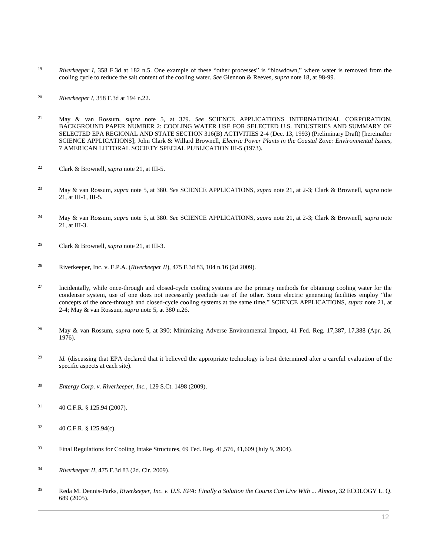- <sup>19</sup> *Riverkeeper I*[, 358 F.3d at 182 n.5.](http://www.westlaw.com/Link/Document/FullText?findType=Y&serNum=2004104452&pubNum=0000506&originatingDoc=I0ecc82a52df011e18b05fdf15589d8e8&refType=RP&fi=co_pp_sp_506_182&originationContext=document&vr=3.0&rs=cblt1.0&transitionType=DocumentItem&contextData=(sc.Search)#co_pp_sp_506_182) One example of these "other processes" is "blowdown," where water is removed from the cooling cycle to reduce the salt content of the cooling water. *See* Glennon & Reeves, *supra* note 18, at 98-99.
- <sup>20</sup> *Riverkeeper I*[, 358 F.3d at 194 n.22.](http://www.westlaw.com/Link/Document/FullText?findType=Y&serNum=2004104452&pubNum=0000506&originatingDoc=I0ecc82a52df011e18b05fdf15589d8e8&refType=RP&fi=co_pp_sp_506_194&originationContext=document&vr=3.0&rs=cblt1.0&transitionType=DocumentItem&contextData=(sc.Search)#co_pp_sp_506_194)
- <sup>21</sup> May & van Rossum, *supra* note 5, at 379. *See* SCIENCE APPLICATIONS INTERNATIONAL CORPORATION, BACKGROUND PAPER NUMBER 2: COOLING WATER USE FOR SELECTED U.S. INDUSTRIES AND SUMMARY OF SELECTED EPA REGIONAL AND STATE SECTION 316(B) ACTIVITIES 2-4 (Dec. 13, 1993) (Preliminary Draft) [hereinafter SCIENCE APPLICATIONS]; John Clark & Willard Brownell, *Electric Power Plants in the Coastal Zone: Environmental Issues*, 7 AMERICAN LITTORAL SOCIETY SPECIAL PUBLICATION III-5 (1973).
- <sup>22</sup> Clark & Brownell, *supra* note 21, at III-5.
- <sup>23</sup> May & van Rossum, *supra* note 5, at 380. *See* SCIENCE APPLICATIONS, *supra* note 21, at 2-3; Clark & Brownell, *supra* note 21, at III-1, III-5.
- <sup>24</sup> May & van Rossum, *supra* note 5, at 380. *See* SCIENCE APPLICATIONS, *supra* note 21, at 2-3; Clark & Brownell, *supra* note 21, at III-3.
- <sup>25</sup> Clark & Brownell, *supra* note 21, at III-3.
- <sup>26</sup> Riverkeeper, Inc. v. E.P.A. (*Riverkeeper II*[\), 475 F.3d 83, 104 n.16 \(2d 2009\).](http://www.westlaw.com/Link/Document/FullText?findType=Y&serNum=2011275512&pubNum=0000506&originatingDoc=I0ecc82a52df011e18b05fdf15589d8e8&refType=RP&fi=co_pp_sp_506_104&originationContext=document&vr=3.0&rs=cblt1.0&transitionType=DocumentItem&contextData=(sc.Search)#co_pp_sp_506_104)
- <sup>27</sup> Incidentally, while once-through and closed-cycle cooling systems are the primary methods for obtaining cooling water for the condenser system, use of one does not necessarily preclude use of the other. Some electric generating facilities employ "the concepts of the once-through and closed-cycle cooling systems at the same time." SCIENCE APPLICATIONS, *supra* note 21, at 2-4; May & van Rossum, *supra* note 5, at 380 n.26.
- <sup>28</sup> May & van Rossum, *supra* note 5, at 390; Minimizing Adverse Environmental Impact, 41 Fed. Reg. 17,387, 17,388 (Apr. 26, [1976\).](http://www.westlaw.com/Link/Document/FullText?findType=l&pubNum=0184735&cite=UUID(IFDAF88704FE711DA86C2000BDBC9A81C)&originatingDoc=I0ecc82a52df011e18b05fdf15589d8e8&refType=CP&originationContext=document&vr=3.0&rs=cblt1.0&transitionType=DocumentItem&contextData=(sc.Search))
- <sup>29</sup> *Id.* (discussing that EPA declared that it believed the appropriate technology is best determined after a careful evaluation of the specific aspects at each site).
- <sup>30</sup> *[Entergy Corp. v. Riverkeeper, Inc.](http://www.westlaw.com/Link/Document/FullText?findType=Y&serNum=2018511551&pubNum=0000708&originatingDoc=I0ecc82a52df011e18b05fdf15589d8e8&refType=RP&originationContext=document&vr=3.0&rs=cblt1.0&transitionType=DocumentItem&contextData=(sc.Search))*, 129 S.Ct. 1498 (2009).
- $31$  [40 C.F.R. § 125.94 \(2007\).](http://www.westlaw.com/Link/Document/FullText?findType=L&pubNum=1000547&cite=40CFRS125.94&originatingDoc=I0ecc82a52df011e18b05fdf15589d8e8&refType=LQ&originationContext=document&vr=3.0&rs=cblt1.0&transitionType=DocumentItem&contextData=(sc.Search))
- $32 \hspace{1.5cm} 40 \text{ C.F.R. }$  § 125.94(c).
- <sup>33</sup> [Final Regulations for Cooling Intake Structures, 69 Fed. Reg. 41,576, 41,609 \(July 9, 2004\).](http://www.westlaw.com/Link/Document/FullText?findType=l&pubNum=0001037&cite=UUID(I1A1E9400345F11DAB1EA8A3AF7542D25)&originatingDoc=I0ecc82a52df011e18b05fdf15589d8e8&refType=CP&fi=co_pp_sp_1037_41576&originationContext=document&vr=3.0&rs=cblt1.0&transitionType=DocumentItem&contextData=(sc.Search)#co_pp_sp_1037_41576)
- <sup>34</sup> *Riverkeeper II*[, 475 F.3d 83 \(2d. Cir. 2009\).](http://www.westlaw.com/Link/Document/FullText?findType=Y&serNum=2011275512&pubNum=0000506&originatingDoc=I0ecc82a52df011e18b05fdf15589d8e8&refType=RP&originationContext=document&vr=3.0&rs=cblt1.0&transitionType=DocumentItem&contextData=(sc.Search))
- <sup>35</sup> Reda M. Dennis-Parks, *[Riverkeeper, Inc. v. U.S. EPA: Finally a Solution the Courts Can Live With ... Almost](http://www.westlaw.com/Link/Document/FullText?findType=Y&serNum=0306407240&pubNum=0001450&originatingDoc=I0ecc82a52df011e18b05fdf15589d8e8&refType=LR&originationContext=document&vr=3.0&rs=cblt1.0&transitionType=DocumentItem&contextData=(sc.Search))*, 32 ECOLOGY L. Q. [689 \(2005\).](http://www.westlaw.com/Link/Document/FullText?findType=Y&serNum=0306407240&pubNum=0001450&originatingDoc=I0ecc82a52df011e18b05fdf15589d8e8&refType=LR&originationContext=document&vr=3.0&rs=cblt1.0&transitionType=DocumentItem&contextData=(sc.Search))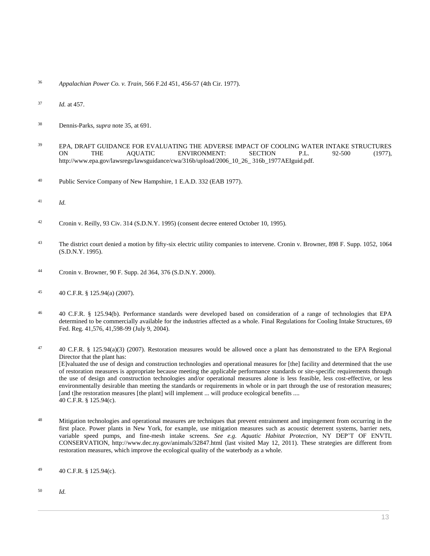- <sup>36</sup> *Appalachian Power Co. v. Train*[, 566 F.2d 451, 456-57 \(4th Cir. 1977\).](http://www.westlaw.com/Link/Document/FullText?findType=Y&serNum=1977124618&pubNum=0000350&originatingDoc=I0ecc82a52df011e18b05fdf15589d8e8&refType=RP&fi=co_pp_sp_350_456&originationContext=document&vr=3.0&rs=cblt1.0&transitionType=DocumentItem&contextData=(sc.Search)#co_pp_sp_350_456)
- <sup>37</sup> *Id.* [at 457.](http://www.westlaw.com/Link/Document/FullText?findType=Y&serNum=1977124618&originatingDoc=I0ecc82a52df011e18b05fdf15589d8e8&refType=RP&originationContext=document&vr=3.0&rs=cblt1.0&transitionType=DocumentItem&contextData=(sc.Search))
- <sup>38</sup> Dennis-Parks, *supra* note 35, at 691.
- <sup>39</sup> EPA, DRAFT GUIDANCE FOR EVALUATING THE ADVERSE IMPACT OF COOLING WATER INTAKE STRUCTURES ON THE AQUATIC ENVIRONMENT: SECTION P.L. 92-500 (1977), http://www.epa.gov/lawsregs/lawsguidance/cwa/316b/upload/2006\_10\_26\_ 316b\_1977AEIguid.pdf.
- <sup>40</sup> [Public Service Company of New Hampshire, 1 E.A.D. 332 \(EAB 1977\).](http://www.westlaw.com/Link/Document/FullText?findType=Y&serNum=1977026231&pubNum=0005295&originatingDoc=I0ecc82a52df011e18b05fdf15589d8e8&refType=CA&originationContext=document&vr=3.0&rs=cblt1.0&transitionType=DocumentItem&contextData=(sc.Search))
- <sup>41</sup> *Id.*
- <sup>42</sup> Cronin v. Reilly, 93 Civ. 314 (S.D.N.Y. 1995) (consent decree entered October 10, 1995).
- <sup>43</sup> The district court denied a motion by fifty-six electric utility companies to intervene. [Cronin v. Browner, 898 F. Supp. 1052,](http://www.westlaw.com/Link/Document/FullText?findType=Y&serNum=1995178738&pubNum=0000345&originatingDoc=I0ecc82a52df011e18b05fdf15589d8e8&refType=RP&fi=co_pp_sp_345_1064&originationContext=document&vr=3.0&rs=cblt1.0&transitionType=DocumentItem&contextData=(sc.Search)#co_pp_sp_345_1064) 1064 [\(S.D.N.Y. 1995\).](http://www.westlaw.com/Link/Document/FullText?findType=Y&serNum=1995178738&pubNum=0000345&originatingDoc=I0ecc82a52df011e18b05fdf15589d8e8&refType=RP&fi=co_pp_sp_345_1064&originationContext=document&vr=3.0&rs=cblt1.0&transitionType=DocumentItem&contextData=(sc.Search)#co_pp_sp_345_1064)
- <sup>44</sup> [Cronin v. Browner, 90 F. Supp. 2d 364, 376 \(S.D.N.Y. 2000\).](http://www.westlaw.com/Link/Document/FullText?findType=Y&serNum=2000088662&pubNum=0004637&originatingDoc=I0ecc82a52df011e18b05fdf15589d8e8&refType=RP&fi=co_pp_sp_4637_376&originationContext=document&vr=3.0&rs=cblt1.0&transitionType=DocumentItem&contextData=(sc.Search)#co_pp_sp_4637_376)
- <sup>45</sup> [40 C.F.R. § 125.94\(a\) \(2007\).](http://www.westlaw.com/Link/Document/FullText?findType=L&pubNum=1000547&cite=40CFRS125.94&originatingDoc=I0ecc82a52df011e18b05fdf15589d8e8&refType=RB&originationContext=document&vr=3.0&rs=cblt1.0&transitionType=DocumentItem&contextData=(sc.Search)#co_pp_8b3b0000958a4)
- <sup>46</sup> [40 C.F.R. § 125.94\(b\).](http://www.westlaw.com/Link/Document/FullText?findType=L&pubNum=1000547&cite=40CFRS125.94&originatingDoc=I0ecc82a52df011e18b05fdf15589d8e8&refType=RB&originationContext=document&vr=3.0&rs=cblt1.0&transitionType=DocumentItem&contextData=(sc.Search)#co_pp_a83b000018c76) Performance standards were developed based on consideration of a range of technologies that EPA determined to be commercially available for the industries affected as a whole. [Final Regulations for Cooling Intake Structures, 69](http://www.westlaw.com/Link/Document/FullText?findType=l&pubNum=0001037&cite=UUID(I1A1E9400345F11DAB1EA8A3AF7542D25)&originatingDoc=I0ecc82a52df011e18b05fdf15589d8e8&refType=CP&fi=co_pp_sp_1037_41576&originationContext=document&vr=3.0&rs=cblt1.0&transitionType=DocumentItem&contextData=(sc.Search)#co_pp_sp_1037_41576)  [Fed. Reg. 41,576, 41,598-](http://www.westlaw.com/Link/Document/FullText?findType=l&pubNum=0001037&cite=UUID(I1A1E9400345F11DAB1EA8A3AF7542D25)&originatingDoc=I0ecc82a52df011e18b05fdf15589d8e8&refType=CP&fi=co_pp_sp_1037_41576&originationContext=document&vr=3.0&rs=cblt1.0&transitionType=DocumentItem&contextData=(sc.Search)#co_pp_sp_1037_41576)99 (July 9, 2004).

47 [40 C.F.R. § 125.94\(a\)\(3\) \(2007\).](http://www.westlaw.com/Link/Document/FullText?findType=L&pubNum=1000547&cite=40CFRS125.94&originatingDoc=I0ecc82a52df011e18b05fdf15589d8e8&refType=RB&originationContext=document&vr=3.0&rs=cblt1.0&transitionType=DocumentItem&contextData=(sc.Search)#co_pp_28cc0000ccca6) Restoration measures would be allowed once a plant has demonstrated to the EPA Regional Director that the plant has: [E]valuated the use of design and construction technologies and operational measures for [the] facility and determined that the use of restoration measures is appropriate because meeting the applicable performance standards or site-specific requirements through the use of design and construction technologies and/or operational measures alone is less feasible, less cost-effective, or less environmentally desirable than meeting the standards or requirements in whole or in part through the use of restoration measures; [and t]he restoration measures [the plant] will implement ... will produce ecological benefits .... [40 C.F.R. § 125.94\(c\).](http://www.westlaw.com/Link/Document/FullText?findType=L&pubNum=1000547&cite=40CFRS125.94&originatingDoc=I0ecc82a52df011e18b05fdf15589d8e8&refType=RB&originationContext=document&vr=3.0&rs=cblt1.0&transitionType=DocumentItem&contextData=(sc.Search)#co_pp_4b24000003ba5)

- <sup>48</sup> Mitigation technologies and operational measures are techniques that prevent entrainment and impingement from occurring in the first place. Power plants in New York, for example, use mitigation measures such as acoustic deterrent systems, barrier nets, variable speed pumps, and fine-mesh intake screens. *See e.g. Aquatic Habitat Protection*, NY DEP'T OF ENVTL CONSERVATION, http://www.dec.ny.gov/animals/32847.html (last visited May 12, 2011). These strategies are different from restoration measures, which improve the ecological quality of the waterbody as a whole.
- 49 [40 C.F.R. § 125.94\(c\).](http://www.westlaw.com/Link/Document/FullText?findType=L&pubNum=1000547&cite=40CFRS125.94&originatingDoc=I0ecc82a52df011e18b05fdf15589d8e8&refType=RB&originationContext=document&vr=3.0&rs=cblt1.0&transitionType=DocumentItem&contextData=(sc.Search)#co_pp_4b24000003ba5)
- <sup>50</sup> *Id.*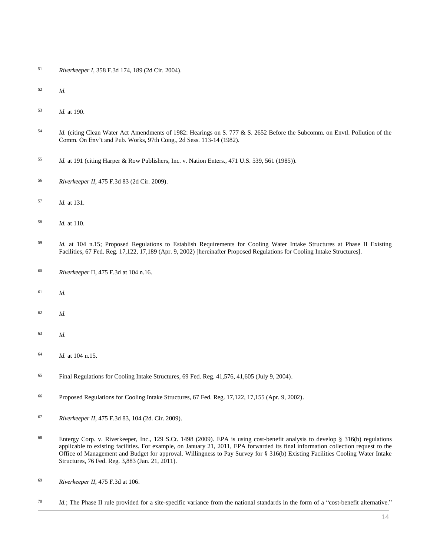- *Riverkeeper I*[, 358 F.3d 174, 189 \(2d Cir. 2004\).](http://www.westlaw.com/Link/Document/FullText?findType=Y&serNum=2004104452&pubNum=0000506&originatingDoc=I0ecc82a52df011e18b05fdf15589d8e8&refType=RP&fi=co_pp_sp_506_189&originationContext=document&vr=3.0&rs=cblt1.0&transitionType=DocumentItem&contextData=(sc.Search)#co_pp_sp_506_189)
- *Id.*
- *Id.* at 190.
- *Id.* (citing Clean Water Act Amendments of 1982: Hearings on S. 777 & S. 2652 Before the Subcomm. on Envtl. Pollution of the Comm. On Env't and Pub. Works, 97th Cong., 2d Sess. 113-14 (1982).
- *Id.* at 191 (citin[g Harper & Row Publishers, Inc. v. Nation Enters., 471 U.S. 539, 561 \(1985\)\)](http://www.westlaw.com/Link/Document/FullText?findType=Y&serNum=1985125844&pubNum=0000780&originatingDoc=I0ecc82a52df011e18b05fdf15589d8e8&refType=RP&fi=co_pp_sp_780_561&originationContext=document&vr=3.0&rs=cblt1.0&transitionType=DocumentItem&contextData=(sc.Search)#co_pp_sp_780_561).
- *Riverkeeper II*[, 475 F.3d 83 \(2d Cir. 2009\).](http://www.westlaw.com/Link/Document/FullText?findType=Y&serNum=2011275512&pubNum=0000506&originatingDoc=I0ecc82a52df011e18b05fdf15589d8e8&refType=RP&originationContext=document&vr=3.0&rs=cblt1.0&transitionType=DocumentItem&contextData=(sc.Search))
- *Id.* [at 131.](http://www.westlaw.com/Link/Document/FullText?findType=Y&serNum=2011275512&originatingDoc=I0ecc82a52df011e18b05fdf15589d8e8&refType=RP&originationContext=document&vr=3.0&rs=cblt1.0&transitionType=DocumentItem&contextData=(sc.Search))
- *Id.* [at 110.](http://www.westlaw.com/Link/Document/FullText?findType=Y&serNum=2011275512&originatingDoc=I0ecc82a52df011e18b05fdf15589d8e8&refType=RP&originationContext=document&vr=3.0&rs=cblt1.0&transitionType=DocumentItem&contextData=(sc.Search))
- *Id.* [at 104 n.15;](http://www.westlaw.com/Link/Document/FullText?findType=Y&serNum=2011275512&originatingDoc=I0ecc82a52df011e18b05fdf15589d8e8&refType=RP&originationContext=document&vr=3.0&rs=cblt1.0&transitionType=DocumentItem&contextData=(sc.Search)) [Proposed Regulations to Establish Requirements for Cooling Water Intake Structures at Phase II Existing](http://www.westlaw.com/Link/Document/FullText?findType=l&pubNum=0001037&cite=UUID(I065272A033FD11DA815BD679F0D6A697)&originatingDoc=I0ecc82a52df011e18b05fdf15589d8e8&refType=CP&fi=co_pp_sp_1037_17122&originationContext=document&vr=3.0&rs=cblt1.0&transitionType=DocumentItem&contextData=(sc.Search)#co_pp_sp_1037_17122)  [Facilities, 67 Fed. Reg. 17,122, 17,189 \(Apr. 9, 2002\)](http://www.westlaw.com/Link/Document/FullText?findType=l&pubNum=0001037&cite=UUID(I065272A033FD11DA815BD679F0D6A697)&originatingDoc=I0ecc82a52df011e18b05fdf15589d8e8&refType=CP&fi=co_pp_sp_1037_17122&originationContext=document&vr=3.0&rs=cblt1.0&transitionType=DocumentItem&contextData=(sc.Search)#co_pp_sp_1037_17122) [hereinafter [Proposed Regulations for Cooling](http://www.westlaw.com/Link/Document/FullText?findType=l&pubNum=0001037&cite=UUID(I065272A033FD11DA815BD679F0D6A697)&originatingDoc=I0ecc82a52df011e18b05fdf15589d8e8&refType=CP&fi=co_pp_sp_1037_17122&originationContext=document&vr=3.0&rs=cblt1.0&transitionType=DocumentItem&contextData=(sc.Search)#co_pp_sp_1037_17122) Intake Structures].
- *Riverkeeper* [II, 475 F.3d at 104 n.16.](http://www.westlaw.com/Link/Document/FullText?findType=Y&serNum=2011275512&pubNum=0000506&originatingDoc=I0ecc82a52df011e18b05fdf15589d8e8&refType=RP&fi=co_pp_sp_506_104&originationContext=document&vr=3.0&rs=cblt1.0&transitionType=DocumentItem&contextData=(sc.Search)#co_pp_sp_506_104)
- *Id.*
- *Id.*
- *Id.*
- *Id.* at 104 n.15.
- <sup>65</sup> [Final Regulations for Cooling Intake Structures, 69 Fed. Reg. 41,576, 41,605 \(July 9, 2004\).](http://www.westlaw.com/Link/Document/FullText?findType=l&pubNum=0001037&cite=UUID(I1A1E9400345F11DAB1EA8A3AF7542D25)&originatingDoc=I0ecc82a52df011e18b05fdf15589d8e8&refType=CP&fi=co_pp_sp_1037_41576&originationContext=document&vr=3.0&rs=cblt1.0&transitionType=DocumentItem&contextData=(sc.Search)#co_pp_sp_1037_41576)
- [Proposed Regulations for Cooling Intake Structures, 67 Fed. Reg. 17,122, 17,155 \(Apr. 9, 2002\).](http://www.westlaw.com/Link/Document/FullText?findType=l&pubNum=0001037&cite=UUID(I065272A033FD11DA815BD679F0D6A697)&originatingDoc=I0ecc82a52df011e18b05fdf15589d8e8&refType=CP&fi=co_pp_sp_1037_17122&originationContext=document&vr=3.0&rs=cblt1.0&transitionType=DocumentItem&contextData=(sc.Search)#co_pp_sp_1037_17122)
- *Riverkeeper II*[, 475 F.3d 83, 104 \(2d. Cir. 2009\).](http://www.westlaw.com/Link/Document/FullText?findType=Y&serNum=2011275512&pubNum=0000506&originatingDoc=I0ecc82a52df011e18b05fdf15589d8e8&refType=RP&fi=co_pp_sp_506_104&originationContext=document&vr=3.0&rs=cblt1.0&transitionType=DocumentItem&contextData=(sc.Search)#co_pp_sp_506_104)
- [Entergy Corp. v. Riverkeeper, Inc., 129 S.Ct. 1498 \(2009\).](http://www.westlaw.com/Link/Document/FullText?findType=Y&serNum=2018511551&pubNum=0000708&originatingDoc=I0ecc82a52df011e18b05fdf15589d8e8&refType=RP&originationContext=document&vr=3.0&rs=cblt1.0&transitionType=DocumentItem&contextData=(sc.Search)) EPA is using cost-benefit analysis to develop § 316(b) regulations applicable to existing facilities. For example, on January 21, 2011, EPA forwarded its final information collection request to the Office of Management and Budget for approval. [Willingness to Pay Survey for § 316\(b\) Existing Facilities Cooling Water Intake](http://www.westlaw.com/Link/Document/FullText?findType=l&pubNum=0001037&cite=UUID(IFACFFA20254511E0AF929F5EE124909A)&originatingDoc=I0ecc82a52df011e18b05fdf15589d8e8&refType=CP&fi=co_pp_sp_1037_3883&originationContext=document&vr=3.0&rs=cblt1.0&transitionType=DocumentItem&contextData=(sc.Search)#co_pp_sp_1037_3883)  [Structures, 76 Fed. Reg. 3,883 \(Jan. 21, 2011\).](http://www.westlaw.com/Link/Document/FullText?findType=l&pubNum=0001037&cite=UUID(IFACFFA20254511E0AF929F5EE124909A)&originatingDoc=I0ecc82a52df011e18b05fdf15589d8e8&refType=CP&fi=co_pp_sp_1037_3883&originationContext=document&vr=3.0&rs=cblt1.0&transitionType=DocumentItem&contextData=(sc.Search)#co_pp_sp_1037_3883)
- *Riverkeeper II*[, 475 F.3d at 106.](http://www.westlaw.com/Link/Document/FullText?findType=Y&serNum=2011275512&pubNum=0000506&originatingDoc=I0ecc82a52df011e18b05fdf15589d8e8&refType=RP&fi=co_pp_sp_506_106&originationContext=document&vr=3.0&rs=cblt1.0&transitionType=DocumentItem&contextData=(sc.Search)#co_pp_sp_506_106)
- <sup>70</sup> *Id.*; The Phase II rule provided for a site-specific variance from the national standards in the form of a "cost-benefit alternative."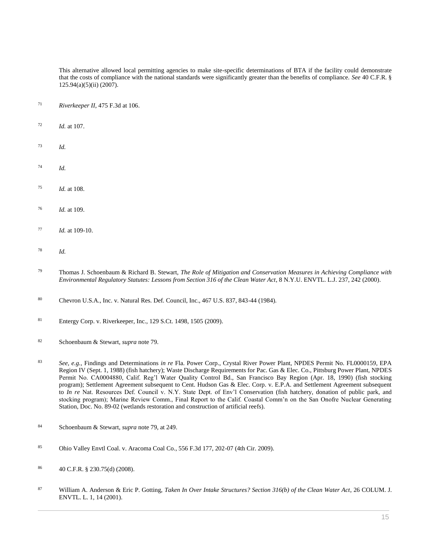This alternative allowed local permitting agencies to make site-specific determinations of BTA if the facility could demonstrate that the costs of compliance with the national standards were significantly greater than the benefits of compliance. *See* [40 C.F.R. §](http://www.westlaw.com/Link/Document/FullText?findType=L&pubNum=1000547&cite=40CFRS125.94&originatingDoc=I0ecc82a52df011e18b05fdf15589d8e8&refType=RB&originationContext=document&vr=3.0&rs=cblt1.0&transitionType=DocumentItem&contextData=(sc.Search)#co_pp_3f6100003e924)  [125.94\(a\)\(5\)\(ii\) \(2007\).](http://www.westlaw.com/Link/Document/FullText?findType=L&pubNum=1000547&cite=40CFRS125.94&originatingDoc=I0ecc82a52df011e18b05fdf15589d8e8&refType=RB&originationContext=document&vr=3.0&rs=cblt1.0&transitionType=DocumentItem&contextData=(sc.Search)#co_pp_3f6100003e924)

- *Riverkeeper II*[, 475 F.3d at 106.](http://www.westlaw.com/Link/Document/FullText?findType=Y&serNum=2011275512&pubNum=0000506&originatingDoc=I0ecc82a52df011e18b05fdf15589d8e8&refType=RP&fi=co_pp_sp_506_106&originationContext=document&vr=3.0&rs=cblt1.0&transitionType=DocumentItem&contextData=(sc.Search)#co_pp_sp_506_106)
- *Id.* [at 107.](http://www.westlaw.com/Link/Document/FullText?findType=Y&serNum=2011275512&originatingDoc=I0ecc82a52df011e18b05fdf15589d8e8&refType=RP&originationContext=document&vr=3.0&rs=cblt1.0&transitionType=DocumentItem&contextData=(sc.Search))
- *Id.*
- *Id.*
- *Id.* at 108.
- *Id.* at 109.
- *Id.* at 109-10.
- *Id.*
- Thomas J. Schoenbaum & Richard B. Stewart, *[The Role of Mitigation and Conservation Measures in Achieving Compliance with](http://www.westlaw.com/Link/Document/FullText?findType=Y&serNum=0117419783&pubNum=0101774&originatingDoc=I0ecc82a52df011e18b05fdf15589d8e8&refType=LR&fi=co_pp_sp_101774_242&originationContext=document&vr=3.0&rs=cblt1.0&transitionType=DocumentItem&contextData=(sc.Search)#co_pp_sp_101774_242)  [Environmental Regulatory Statutes: Lessons from Section 316 of the Clean Water Act](http://www.westlaw.com/Link/Document/FullText?findType=Y&serNum=0117419783&pubNum=0101774&originatingDoc=I0ecc82a52df011e18b05fdf15589d8e8&refType=LR&fi=co_pp_sp_101774_242&originationContext=document&vr=3.0&rs=cblt1.0&transitionType=DocumentItem&contextData=(sc.Search)#co_pp_sp_101774_242)*, 8 N.Y.U. ENVTL. L.J. 237, 242 (2000).
- [Chevron U.S.A., Inc. v. Natural Res. Def. Council, Inc., 467 U.S. 837, 843-44 \(1984\).](http://www.westlaw.com/Link/Document/FullText?findType=Y&serNum=1984130736&pubNum=0000780&originatingDoc=I0ecc82a52df011e18b05fdf15589d8e8&refType=RP&fi=co_pp_sp_780_843&originationContext=document&vr=3.0&rs=cblt1.0&transitionType=DocumentItem&contextData=(sc.Search)#co_pp_sp_780_843)
- [Entergy Corp. v. Riverkeeper, Inc., 129 S.Ct. 1498, 1505 \(2009\).](http://www.westlaw.com/Link/Document/FullText?findType=Y&serNum=2018511551&pubNum=0000708&originatingDoc=I0ecc82a52df011e18b05fdf15589d8e8&refType=RP&fi=co_pp_sp_708_1505&originationContext=document&vr=3.0&rs=cblt1.0&transitionType=DocumentItem&contextData=(sc.Search)#co_pp_sp_708_1505)
- Schoenbaum & Stewart, *supra* note 79.
- *See, e.g.,* Findings and Determinations *in re* Fla. Power Corp., Crystal River Power Plant, NPDES Permit No. FL0000159, EPA Region IV (Sept. 1, 1988) (fish hatchery); Waste Discharge Requirements for Pac. Gas & Elec. Co., Pittsburg Power Plant, NPDES Permit No. CA0004880, Calif. Reg'l Water Quality Control Bd., San Francisco Bay Region (Apr. 18, 1990) (fish stocking program); Settlement Agreement subsequent to Cent. Hudson Gas & Elec. Corp. v. E.P.A. and Settlement Agreement subsequent to *In re* Nat. Resources Def. Council v. N.Y. State Dept. of Env'l Conservation (fish hatchery, donation of public park, and stocking program); Marine Review Comm., Final Report to the Calif. Coastal Comm'n on the San Onofre Nuclear Generating Station, Doc. No. 89-02 (wetlands restoration and construction of artificial reefs).
- Schoenbaum & Stewart, *supra* note 79, at 249.
- [Ohio Valley Envtl Coal. v. Aracoma Coal Co., 556 F.3d 177, 202-07 \(4th Cir. 2009\).](http://www.westlaw.com/Link/Document/FullText?findType=Y&serNum=2018139271&pubNum=0000506&originatingDoc=I0ecc82a52df011e18b05fdf15589d8e8&refType=RP&fi=co_pp_sp_506_202&originationContext=document&vr=3.0&rs=cblt1.0&transitionType=DocumentItem&contextData=(sc.Search)#co_pp_sp_506_202)
- [40 C.F.R. § 230.75\(d\) \(2008\).](http://www.westlaw.com/Link/Document/FullText?findType=L&pubNum=1000547&cite=40CFRS230.75&originatingDoc=I0ecc82a52df011e18b05fdf15589d8e8&refType=RB&originationContext=document&vr=3.0&rs=cblt1.0&transitionType=DocumentItem&contextData=(sc.Search)#co_pp_5ba1000067d06)
- William A. Anderson & Eric P. Gotting, *[Taken In Over Intake Structures? Section 316\(b\) of the Clean Water Act](http://www.westlaw.com/Link/Document/FullText?findType=Y&serNum=0283139152&pubNum=0001445&originatingDoc=I0ecc82a52df011e18b05fdf15589d8e8&refType=LR&fi=co_pp_sp_1445_14&originationContext=document&vr=3.0&rs=cblt1.0&transitionType=DocumentItem&contextData=(sc.Search)#co_pp_sp_1445_14)*, 26 COLUM. J. [ENVTL. L. 1, 14 \(2001\).](http://www.westlaw.com/Link/Document/FullText?findType=Y&serNum=0283139152&pubNum=0001445&originatingDoc=I0ecc82a52df011e18b05fdf15589d8e8&refType=LR&fi=co_pp_sp_1445_14&originationContext=document&vr=3.0&rs=cblt1.0&transitionType=DocumentItem&contextData=(sc.Search)#co_pp_sp_1445_14)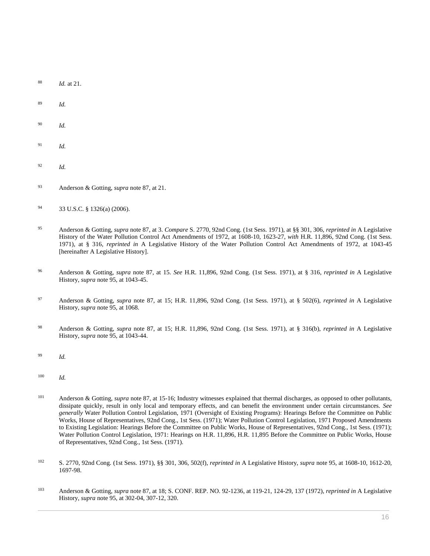- <sup>88</sup> *Id.* [at 21.](http://www.westlaw.com/Link/Document/FullText?findType=Y&serNum=0283139152&originatingDoc=I0ecc82a52df011e18b05fdf15589d8e8&refType=LR&originationContext=document&vr=3.0&rs=cblt1.0&transitionType=DocumentItem&contextData=(sc.Search))
- <sup>89</sup> *Id.*
- <sup>90</sup> *Id.*
- <sup>91</sup> *Id.*
- <sup>92</sup> *Id.*
- <sup>93</sup> Anderson & Gotting, *supra* note 87, at 21.
- <sup>94</sup> [33 U.S.C. § 1326\(a\) \(2006\).](http://www.westlaw.com/Link/Document/FullText?findType=L&pubNum=1000546&cite=33USCAS1326&originatingDoc=I0ecc82a52df011e18b05fdf15589d8e8&refType=RB&originationContext=document&vr=3.0&rs=cblt1.0&transitionType=DocumentItem&contextData=(sc.Search)#co_pp_8b3b0000958a4)
- <sup>95</sup> Anderson & Gotting, *supra* note 87, at 3. *Compare* S. 2770, 92nd Cong. (1st Sess. 1971), at §§ 301, 306, *reprinted in* A Legislative History of the Water Pollution Control Act Amendments of 1972, at 1608-10, 1623-27, *with* H.R. 11,896, 92nd Cong. (1st Sess. 1971), at § 316, *reprinted in* A Legislative History of the Water Pollution Control Act Amendments of 1972, at 1043-45 [hereinafter A Legislative History].
- <sup>96</sup> Anderson & Gotting, *supra* note 87, at 15. *See* H.R. 11,896, 92nd Cong. (1st Sess. 1971), at § 316, *reprinted in* A Legislative History, *supra* note 95, at 1043-45.
- <sup>97</sup> Anderson & Gotting, *supra* note 87, at 15; H.R. 11,896, 92nd Cong. (1st Sess. 1971), at § 502(6), *reprinted in* A Legislative History, *supra* note 95, at 1068.
- <sup>98</sup> Anderson & Gotting, *supra* note 87, at 15; H.R. 11,896, 92nd Cong. (1st Sess. 1971), at § 316(b), *reprinted in* A Legislative History, *supra* note 95, at 1043-44.
- <sup>99</sup> *Id.*
- <sup>100</sup> *Id.*
- <sup>101</sup> Anderson & Gotting, *supra* note 87, at 15-16; Industry witnesses explained that thermal discharges, as opposed to other pollutants, dissipate quickly, result in only local and temporary effects, and can benefit the environment under certain circumstances. *See generally* Water Pollution Control Legislation, 1971 (Oversight of Existing Programs): Hearings Before the Committee on Public Works, House of Representatives, 92nd Cong., 1st Sess. (1971); Water Pollution Control Legislation, 1971 Proposed Amendments to Existing Legislation: Hearings Before the Committee on Public Works, House of Representatives, 92nd Cong., 1st Sess. (1971); Water Pollution Control Legislation, 1971: Hearings on H.R. 11,896, H.R. 11,895 Before the Committee on Public Works, House of Representatives, 92nd Cong., 1st Sess. (1971).
- <sup>102</sup> S. 2770, 92nd Cong. (1st Sess. 1971), §§ 301, 306, 502(f), *reprinted in* A Legislative History, *supra* note 95, at 1608-10, 1612-20, 1697-98.
- <sup>103</sup> Anderson & Gotting, *supra* note 87, at 18[; S. CONF. REP. NO. 92-1236, at 119-21, 124-29, 137](http://www.westlaw.com/Link/Document/FullText?findType=Y&serNum=0100746669&pubNum=0001504&originatingDoc=I0ecc82a52df011e18b05fdf15589d8e8&refType=TV&originationContext=document&vr=3.0&rs=cblt1.0&transitionType=DocumentItem&contextData=(sc.Search)) (1972), *reprinted in* A Legislative History, *supra* note 95, at 302-04, 307-12, 320.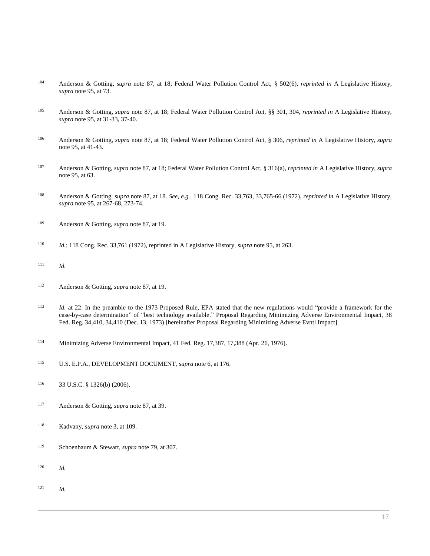- Anderson & Gotting, *supra* note 87, at 18; Federal Water Pollution Control Act, § 502(6), *reprinted in* A Legislative History, *supra* note 95, at 73.
- Anderson & Gotting, *supra* note 87, at 18; Federal Water Pollution Control Act, §§ 301, 304, *reprinted in* A Legislative History, *supra* note 95, at 31-33, 37-40.
- Anderson & Gotting, *supra* note 87, at 18; Federal Water Pollution Control Act, § 306, *reprinted in* A Legislative History, *supra* note 95, at 41-43.
- Anderson & Gotting, *supra* note 87, at 18; Federal Water Pollution Control Act, § 316(a), *reprinted in* A Legislative History, *supra* note 95, at 63.
- Anderson & Gotting, *supra* note 87, at 18. *See, e.g.*, 118 Cong. Rec. 33,763, 33,765-66 (1972), *reprinted in* A Legislative History, *supra* note 95, at 267-68, 273-74.
- Anderson & Gotting, *supra* note 87, at 19.
- *Id.*; 118 Cong. Rec. 33,761 (1972), reprinted in A Legislative History, *supra* note 95, at 263.
- *Id.*
- Anderson & Gotting, *supra* note 87, at 19.
- *Id.* at 22. In the preamble to the 1973 Proposed Rule, EPA stated that the new regulations would "provide a framework for the case-by-case determination" of "best technology available." Proposal Regarding Minimizing Adverse Environmental Impact, [38](http://www.westlaw.com/Link/Document/FullText?findType=l&pubNum=0184735&cite=UUID(I952AE210517511DAB100000BDBC9A81C)&originatingDoc=I0ecc82a52df011e18b05fdf15589d8e8&refType=CP&originationContext=document&vr=3.0&rs=cblt1.0&transitionType=DocumentItem&contextData=(sc.Search))  [Fed. Reg. 34,410, 34,410 \(Dec. 13, 1973\)](http://www.westlaw.com/Link/Document/FullText?findType=l&pubNum=0184735&cite=UUID(I952AE210517511DAB100000BDBC9A81C)&originatingDoc=I0ecc82a52df011e18b05fdf15589d8e8&refType=CP&originationContext=document&vr=3.0&rs=cblt1.0&transitionType=DocumentItem&contextData=(sc.Search)) [hereinafter Proposal Regarding Minimizing Adverse Evntl Impact].
- Minimizing Adverse Environmental Impact, [41 Fed. Reg. 17,387, 17,388 \(Apr. 26, 1976\).](http://www.westlaw.com/Link/Document/FullText?findType=l&pubNum=0184735&cite=UUID(IFDAF88704FE711DA86C2000BDBC9A81C)&originatingDoc=I0ecc82a52df011e18b05fdf15589d8e8&refType=CP&originationContext=document&vr=3.0&rs=cblt1.0&transitionType=DocumentItem&contextData=(sc.Search))
- U.S. E.P.A., DEVELOPMENT DOCUMENT, *supra* note 6, at 176.
- [33 U.S.C. § 1326\(b\) \(2006\).](http://www.westlaw.com/Link/Document/FullText?findType=L&pubNum=1000546&cite=33USCAS1326&originatingDoc=I0ecc82a52df011e18b05fdf15589d8e8&refType=RB&originationContext=document&vr=3.0&rs=cblt1.0&transitionType=DocumentItem&contextData=(sc.Search)#co_pp_a83b000018c76)
- Anderson & Gotting, *supra* note 87, at 39.
- Kadvany, *supra* note 3, at 109.
- Schoenbaum & Stewart, *supra* note 79, at 307.
- *Id.*
- *Id.*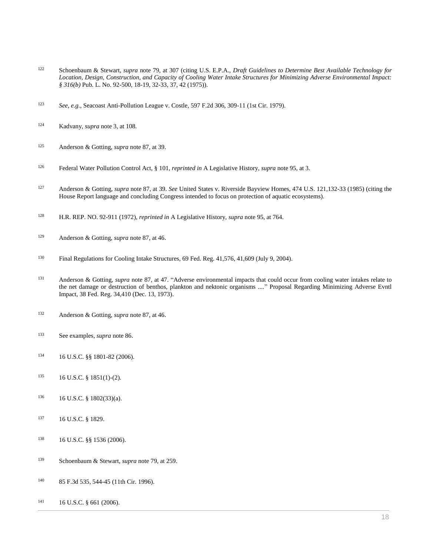- Schoenbaum & Stewart, *supra* note 79, at 307 (citing U.S. E.P.A., *Draft Guidelines to Determine Best Available Technology for Location, Design, Construction, and Capacity of Cooling Water Intake Structures for Minimizing Adverse Environmental Impact: § 316(b)* Pub. L. No. 92-500, 18-19, 32-33, 37, 42 (1975)).
- *See, e.g.*[, Seacoast Anti-Pollution League v. Costle, 597 F.2d 306, 309-11 \(1st Cir. 1979\).](http://www.westlaw.com/Link/Document/FullText?findType=Y&serNum=1979112721&pubNum=0000350&originatingDoc=I0ecc82a52df011e18b05fdf15589d8e8&refType=RP&fi=co_pp_sp_350_309&originationContext=document&vr=3.0&rs=cblt1.0&transitionType=DocumentItem&contextData=(sc.Search)#co_pp_sp_350_309)
- Kadvany, *supra* note 3, at 108.
- Anderson & Gotting, *supra* note 87, at 39.
- Federal Water Pollution Control Act, § 101, *reprinted in* A Legislative History, *supra* note 95, at 3.
- Anderson & Gotting, *supra* note 87, at 39. *See* [United States v. Riverside Bayview Homes, 474 U.S. 121,132-33 \(1985\)](http://www.westlaw.com/Link/Document/FullText?findType=Y&serNum=1985158798&pubNum=0000780&originatingDoc=I0ecc82a52df011e18b05fdf15589d8e8&refType=RP&fi=co_pp_sp_780_132&originationContext=document&vr=3.0&rs=cblt1.0&transitionType=DocumentItem&contextData=(sc.Search)#co_pp_sp_780_132) (citing the House Report language and concluding Congress intended to focus on protection of aquatic ecosystems).
- H.R. REP. NO. 92-911 (1972), *reprinted in* A Legislative History, *supra* note 95, at 764.
- Anderson & Gotting, *supra* note 87, at 46.
- [Final Regulations for Cooling Intake Structures, 69 Fed. Reg. 41,576, 41,609 \(July 9, 2004\).](http://www.westlaw.com/Link/Document/FullText?findType=l&pubNum=0001037&cite=UUID(I1A1E9400345F11DAB1EA8A3AF7542D25)&originatingDoc=I0ecc82a52df011e18b05fdf15589d8e8&refType=CP&fi=co_pp_sp_1037_41576&originationContext=document&vr=3.0&rs=cblt1.0&transitionType=DocumentItem&contextData=(sc.Search)#co_pp_sp_1037_41576)
- 131 Anderson & Gotting, *supra* note 87, at 47. "Adverse environmental impacts that could occur from cooling water intakes relate to the net damage or destruction of benthos, plankton and nektonic organisms ...." Proposal Regarding Minimizing Adverse Evntl Impact[, 38 Fed. Reg. 34,410 \(Dec. 13, 1973\).](http://www.westlaw.com/Link/Document/FullText?findType=l&pubNum=0184735&cite=UUID(I952AE210517511DAB100000BDBC9A81C)&originatingDoc=I0ecc82a52df011e18b05fdf15589d8e8&refType=CP&originationContext=document&vr=3.0&rs=cblt1.0&transitionType=DocumentItem&contextData=(sc.Search))
- Anderson & Gotting, *supra* note 87, at 46.
- See examples, *supra* note 86.
- [16 U.S.C. §§ 1801-](http://www.westlaw.com/Link/Document/FullText?findType=L&pubNum=1000546&cite=16USCAS1801&originatingDoc=I0ecc82a52df011e18b05fdf15589d8e8&refType=LQ&originationContext=document&vr=3.0&rs=cblt1.0&transitionType=DocumentItem&contextData=(sc.Search))82 (2006).
- [16 U.S.C. § 1851\(1\)-\(2\).](http://www.westlaw.com/Link/Document/FullText?findType=L&pubNum=1000546&cite=16USCAS1851&originatingDoc=I0ecc82a52df011e18b05fdf15589d8e8&refType=LQ&originationContext=document&vr=3.0&rs=cblt1.0&transitionType=DocumentItem&contextData=(sc.Search))
- [16 U.S.C. § 1802\(33\)\(a\).](http://www.westlaw.com/Link/Document/FullText?findType=L&pubNum=1000546&cite=16USCAS1802&originatingDoc=I0ecc82a52df011e18b05fdf15589d8e8&refType=RB&originationContext=document&vr=3.0&rs=cblt1.0&transitionType=DocumentItem&contextData=(sc.Search)#co_pp_7bae0000adc66)
- [16 U.S.C. § 1829.](http://www.westlaw.com/Link/Document/FullText?findType=L&pubNum=1000546&cite=16USCAS1829&originatingDoc=I0ecc82a52df011e18b05fdf15589d8e8&refType=LQ&originationContext=document&vr=3.0&rs=cblt1.0&transitionType=DocumentItem&contextData=(sc.Search))
- [16 U.S.C. §§ 1536 \(2006\).](http://www.westlaw.com/Link/Document/FullText?findType=L&pubNum=1000546&cite=16USCAS1536&originatingDoc=I0ecc82a52df011e18b05fdf15589d8e8&refType=LQ&originationContext=document&vr=3.0&rs=cblt1.0&transitionType=DocumentItem&contextData=(sc.Search))
- Schoenbaum & Stewart, *supra* note 79, at 259.
- [85 F.3d 535, 544-45 \(11th Cir. 1996\).](http://www.westlaw.com/Link/Document/FullText?findType=Y&serNum=1996124295&pubNum=0000506&originatingDoc=I0ecc82a52df011e18b05fdf15589d8e8&refType=RP&fi=co_pp_sp_506_544&originationContext=document&vr=3.0&rs=cblt1.0&transitionType=DocumentItem&contextData=(sc.Search)#co_pp_sp_506_544)
- [16 U.S.C. § 661 \(2006\).](http://www.westlaw.com/Link/Document/FullText?findType=L&pubNum=1000546&cite=16USCAS661&originatingDoc=I0ecc82a52df011e18b05fdf15589d8e8&refType=LQ&originationContext=document&vr=3.0&rs=cblt1.0&transitionType=DocumentItem&contextData=(sc.Search))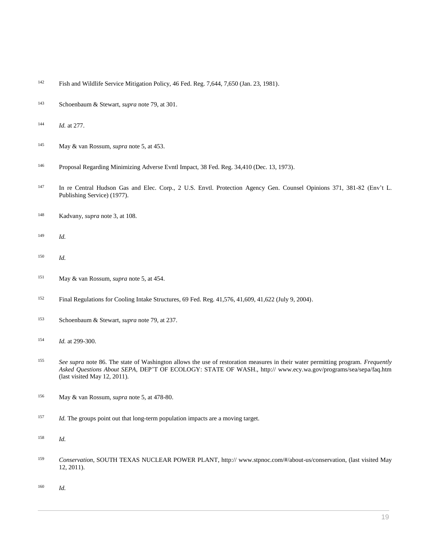- [Fish and Wildlife Service Mitigation Policy, 46 Fed. Reg. 7,644, 7,650 \(Jan. 23, 1981\).](http://www.westlaw.com/Link/Document/FullText?findType=l&pubNum=0001037&cite=UUID(IB1A19FB035F511DAA715A5CD0856D60A)&originatingDoc=I0ecc82a52df011e18b05fdf15589d8e8&refType=CP&fi=co_pp_sp_1037_7644&originationContext=document&vr=3.0&rs=cblt1.0&transitionType=DocumentItem&contextData=(sc.Search)#co_pp_sp_1037_7644)
- Schoenbaum & Stewart, *supra* note 79, at 301.
- *Id.* at 277.
- May & van Rossum, *supra* note 5, at 453.
- Proposal Regarding Minimizing Adverse Evntl Impact[, 38 Fed. Reg. 34,410 \(Dec. 13, 1973\).](http://www.westlaw.com/Link/Document/FullText?findType=l&pubNum=0184735&cite=UUID(I952AE210517511DAB100000BDBC9A81C)&originatingDoc=I0ecc82a52df011e18b05fdf15589d8e8&refType=CP&originationContext=document&vr=3.0&rs=cblt1.0&transitionType=DocumentItem&contextData=(sc.Search))
- 147 In re Central Hudson Gas and Elec. Corp., 2 U.S. Envtl. Protection Agency Gen. Counsel Opinions 371, 381-82 (Env't L. Publishing Service) (1977).
- Kadvany, *supra* note 3, at 108.
- *Id.*
- *Id.*
- May & van Rossum, *supra* note 5, at 454.
- [Final Regulations for Cooling Intake Structures, 69 Fed. Reg. 41,576, 41,609, 41,622 \(July 9, 2004\).](http://www.westlaw.com/Link/Document/FullText?findType=l&pubNum=0001037&cite=UUID(I1A1E9400345F11DAB1EA8A3AF7542D25)&originatingDoc=I0ecc82a52df011e18b05fdf15589d8e8&refType=CP&fi=co_pp_sp_1037_41576&originationContext=document&vr=3.0&rs=cblt1.0&transitionType=DocumentItem&contextData=(sc.Search)#co_pp_sp_1037_41576)
- Schoenbaum & Stewart, *supra* note 79, at 237.
- *Id.* at 299-300.
- *See supra* note 86. The state of Washington allows the use of restoration measures in their water permitting program. *Frequently Asked Questions About SEPA*, DEP'T OF ECOLOGY: STATE OF WASH., http:// www.ecy.wa.gov/programs/sea/sepa/faq.htm (last visited May 12, 2011).
- May & van Rossum, *supra* note 5, at 478-80.
- <sup>157</sup> *Id.* The groups point out that long-term population impacts are a moving target.
- *Id.*
- *Conservation*, SOUTH TEXAS NUCLEAR POWER PLANT, http:// www.stpnoc.com/#/about-us/conservation, (last visited May 12, 2011).
- *Id.*